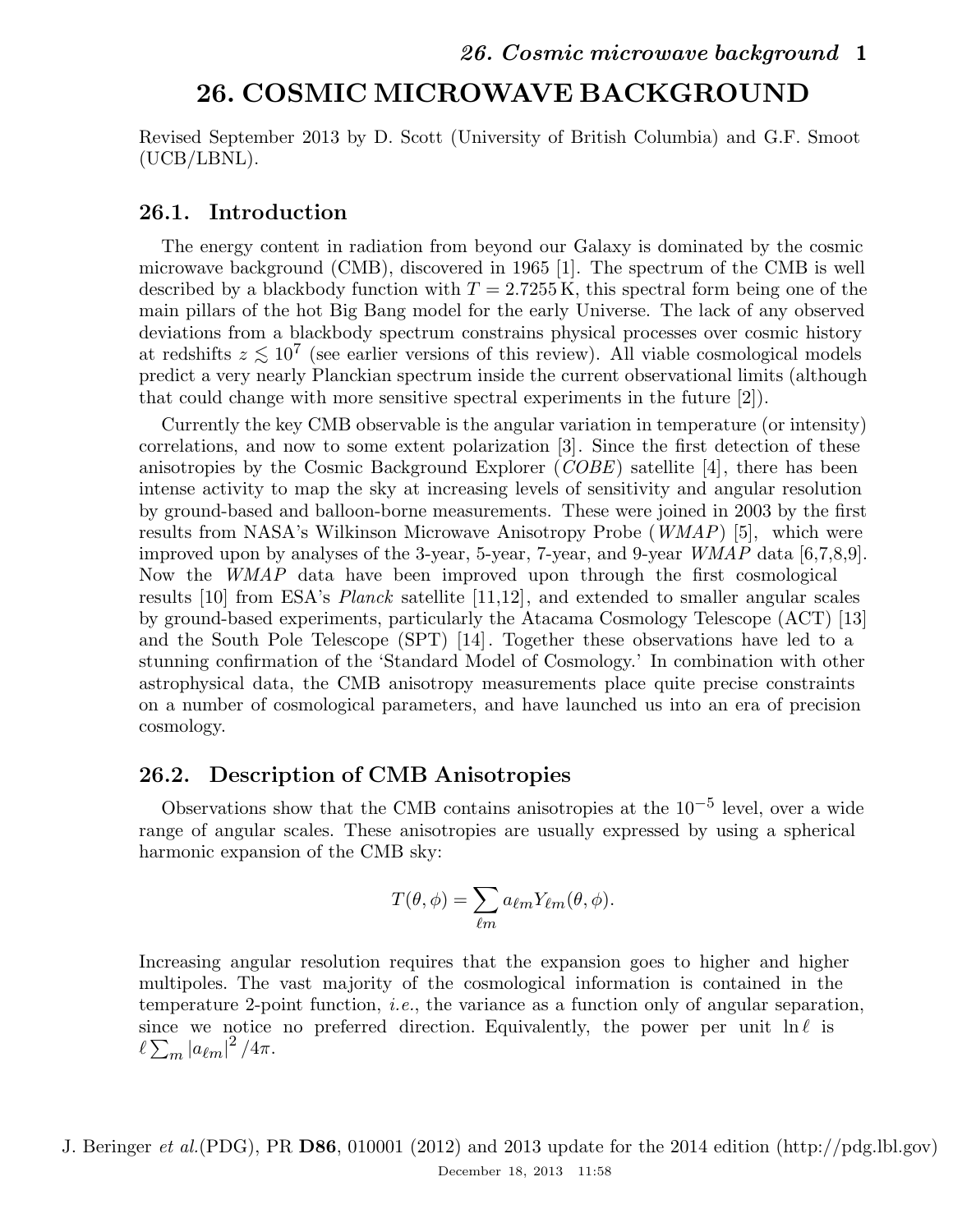# 26. COSMIC MICROWAVE BACKGROUND

Revised September 2013 by D. Scott (University of British Columbia) and G.F. Smoot (UCB/LBNL).

#### 26.1. Introduction

The energy content in radiation from beyond our Galaxy is dominated by the cosmic microwave background (CMB), discovered in 1965 [1]. The spectrum of the CMB is well described by a blackbody function with  $T = 2.7255 \text{ K}$ , this spectral form being one of the main pillars of the hot Big Bang model for the early Universe. The lack of any observed deviations from a blackbody spectrum constrains physical processes over cosmic history at redshifts  $z \lesssim 10^7$  (see earlier versions of this review). All viable cosmological models predict a very nearly Planckian spectrum inside the current observational limits (although that could change with more sensitive spectral experiments in the future [2]).

Currently the key CMB observable is the angular variation in temperature (or intensity) correlations, and now to some extent polarization [3]. Since the first detection of these anisotropies by the Cosmic Background Explorer  $(COBE)$  satellite [4], there has been intense activity to map the sky at increasing levels of sensitivity and angular resolution by ground-based and balloon-borne measurements. These were joined in 2003 by the first results from NASA's Wilkinson Microwave Anisotropy Probe (WMAP) [5], which were improved upon by analyses of the 3-year, 5-year, 7-year, and 9-year WMAP data [6,7,8,9]. Now the WMAP data have been improved upon through the first cosmological results [10] from ESA's Planck satellite [11,12], and extended to smaller angular scales by ground-based experiments, particularly the Atacama Cosmology Telescope (ACT) [13] and the South Pole Telescope (SPT) [14]. Together these observations have led to a stunning confirmation of the 'Standard Model of Cosmology.' In combination with other astrophysical data, the CMB anisotropy measurements place quite precise constraints on a number of cosmological parameters, and have launched us into an era of precision cosmology.

#### 26.2. Description of CMB Anisotropies

Observations show that the CMB contains anisotropies at the  $10^{-5}$  level, over a wide range of angular scales. These anisotropies are usually expressed by using a spherical harmonic expansion of the CMB sky:

$$
T(\theta, \phi) = \sum_{\ell m} a_{\ell m} Y_{\ell m}(\theta, \phi).
$$

Increasing angular resolution requires that the expansion goes to higher and higher multipoles. The vast majority of the cosmological information is contained in the temperature 2-point function, i.e., the variance as a function only of angular separation, since we notice no preferred direction. Equivalently, the power per unit  $\ln \ell$  is  $\ell \sum_{m} \left| a_{\ell m} \right|^2 / 4 \pi.$ 

J. Beringer et al.(PDG), PR D86, 010001 (2012) and 2013 update for the 2014 edition (http://pdg.lbl.gov) December 18, 2013 11:58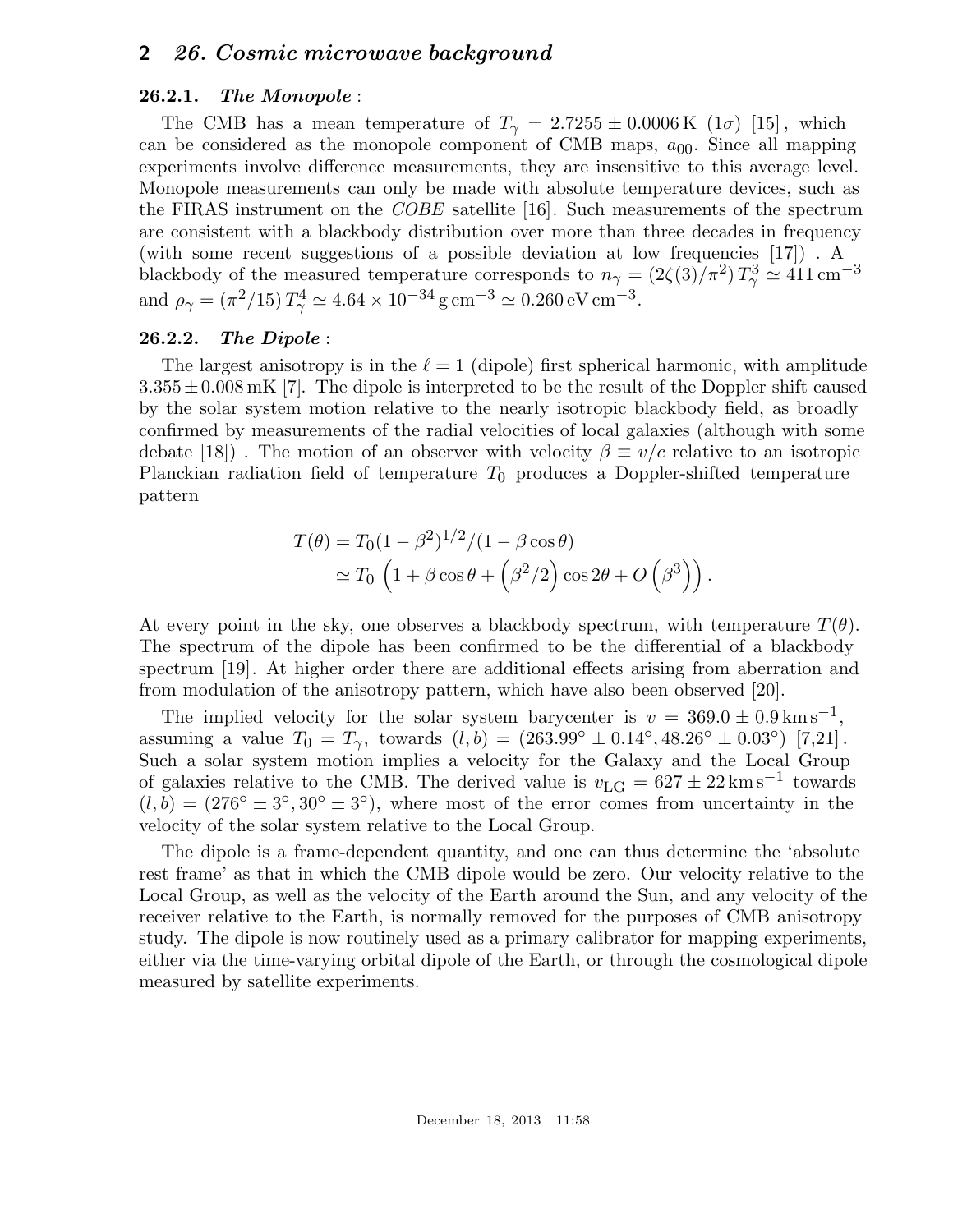### 2 26. Cosmic microwave background

#### 26.2.1. The Monopole :

The CMB has a mean temperature of  $T_{\gamma} = 2.7255 \pm 0.0006 \,\mathrm{K}$  (1 $\sigma$ ) [15], which can be considered as the monopole component of CMB maps,  $a_{00}$ . Since all mapping experiments involve difference measurements, they are insensitive to this average level. Monopole measurements can only be made with absolute temperature devices, such as the FIRAS instrument on the *COBE* satellite [16]. Such measurements of the spectrum are consistent with a blackbody distribution over more than three decades in frequency (with some recent suggestions of a possible deviation at low frequencies [17]) . A blackbody of the measured temperature corresponds to  $n_{\gamma} = (2\zeta(3)/\pi^2) T_{\gamma}^3 \simeq 411 \text{ cm}^{-3}$ and  $\rho_{\gamma} = (\pi^2/15) T_{\gamma}^4 \simeq 4.64 \times 10^{-34} \,\mathrm{g\,cm^{-3}} \simeq 0.260 \,\mathrm{eV\,cm^{-3}}.$ 

#### 26.2.2. The Dipole :

The largest anisotropy is in the  $\ell = 1$  (dipole) first spherical harmonic, with amplitude  $3.355\pm0.008$  mK [7]. The dipole is interpreted to be the result of the Doppler shift caused by the solar system motion relative to the nearly isotropic blackbody field, as broadly confirmed by measurements of the radial velocities of local galaxies (although with some debate [18]). The motion of an observer with velocity  $\beta \equiv v/c$  relative to an isotropic Planckian radiation field of temperature  $T_0$  produces a Doppler-shifted temperature pattern

$$
T(\theta) = T_0 (1 - \beta^2)^{1/2} / (1 - \beta \cos \theta)
$$
  
\n
$$
\simeq T_0 \left( 1 + \beta \cos \theta + \left( \beta^2 / 2 \right) \cos 2\theta + O \left( \beta^3 \right) \right).
$$

At every point in the sky, one observes a blackbody spectrum, with temperature  $T(\theta)$ . The spectrum of the dipole has been confirmed to be the differential of a blackbody spectrum [19]. At higher order there are additional effects arising from aberration and from modulation of the anisotropy pattern, which have also been observed [20].

The implied velocity for the solar system barycenter is  $v = 369.0 \pm 0.9 \,\mathrm{km \, s}^{-1}$ , assuming a value  $T_0 = T_\gamma$ , towards  $(l, b) = (263.99^\circ \pm 0.14^\circ, 48.26^\circ \pm 0.03^\circ)$  [7,21]. Such a solar system motion implies a velocity for the Galaxy and the Local Group of galaxies relative to the CMB. The derived value is  $v_{\text{LG}} = 627 \pm 22 \text{ km s}^{-1}$  towards  $(l, b) = (276° \pm 3°, 30° \pm 3°)$ , where most of the error comes from uncertainty in the velocity of the solar system relative to the Local Group.

The dipole is a frame-dependent quantity, and one can thus determine the 'absolute rest frame' as that in which the CMB dipole would be zero. Our velocity relative to the Local Group, as well as the velocity of the Earth around the Sun, and any velocity of the receiver relative to the Earth, is normally removed for the purposes of CMB anisotropy study. The dipole is now routinely used as a primary calibrator for mapping experiments, either via the time-varying orbital dipole of the Earth, or through the cosmological dipole measured by satellite experiments.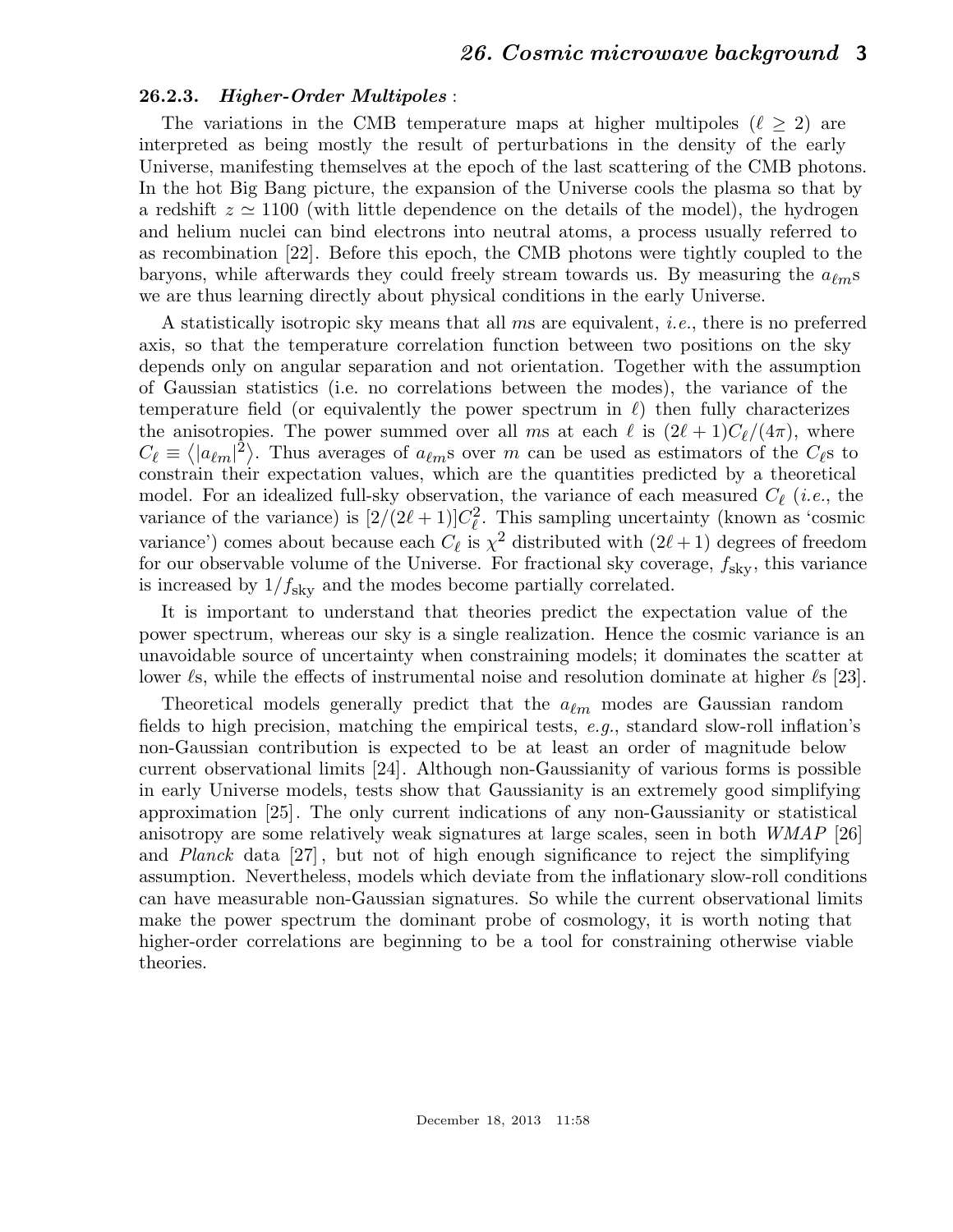#### 26.2.3. Higher-Order Multipoles :

The variations in the CMB temperature maps at higher multipoles  $(\ell \geq 2)$  are interpreted as being mostly the result of perturbations in the density of the early Universe, manifesting themselves at the epoch of the last scattering of the CMB photons. In the hot Big Bang picture, the expansion of the Universe cools the plasma so that by a redshift  $z \approx 1100$  (with little dependence on the details of the model), the hydrogen and helium nuclei can bind electrons into neutral atoms, a process usually referred to as recombination [22]. Before this epoch, the CMB photons were tightly coupled to the baryons, while afterwards they could freely stream towards us. By measuring the  $a_{\ell m}$ s we are thus learning directly about physical conditions in the early Universe.

A statistically isotropic sky means that all ms are equivalent, i.e., there is no preferred axis, so that the temperature correlation function between two positions on the sky depends only on angular separation and not orientation. Together with the assumption of Gaussian statistics (i.e. no correlations between the modes), the variance of the temperature field (or equivalently the power spectrum in  $\ell$ ) then fully characterizes the anisotropies. The power summed over all ms at each  $\ell$  is  $(2\ell+1)C_{\ell}/(4\pi)$ , where  $C_{\ell} \equiv \langle |a_{\ell m}|^2 \rangle$ . Thus averages of  $a_{\ell m}$ s over m can be used as estimators of the  $C_{\ell}$ s to constrain their expectation values, which are the quantities predicted by a theoretical model. For an idealized full-sky observation, the variance of each measured  $C_{\ell}$  (*i.e.*, the variance of the variance) is  $[2/(2\ell+1)]C_{\ell}^2$  $\ell^2$ . This sampling uncertainty (known as 'cosmic variance') comes about because each  $C_{\ell}$  is  $\chi^2$  distributed with  $(2\ell+1)$  degrees of freedom for our observable volume of the Universe. For fractional sky coverage,  $f_{\rm sky}$ , this variance is increased by  $1/f_{\rm sky}$  and the modes become partially correlated.

It is important to understand that theories predict the expectation value of the power spectrum, whereas our sky is a single realization. Hence the cosmic variance is an unavoidable source of uncertainty when constraining models; it dominates the scatter at lower  $\ell$ s, while the effects of instrumental noise and resolution dominate at higher  $\ell$ s [23].

Theoretical models generally predict that the  $a_{\ell m}$  modes are Gaussian random fields to high precision, matching the empirical tests, e.g., standard slow-roll inflation's non-Gaussian contribution is expected to be at least an order of magnitude below current observational limits [24]. Although non-Gaussianity of various forms is possible in early Universe models, tests show that Gaussianity is an extremely good simplifying approximation [25]. The only current indications of any non-Gaussianity or statistical anisotropy are some relatively weak signatures at large scales, seen in both WMAP [26] and Planck data [27], but not of high enough significance to reject the simplifying assumption. Nevertheless, models which deviate from the inflationary slow-roll conditions can have measurable non-Gaussian signatures. So while the current observational limits make the power spectrum the dominant probe of cosmology, it is worth noting that higher-order correlations are beginning to be a tool for constraining otherwise viable theories.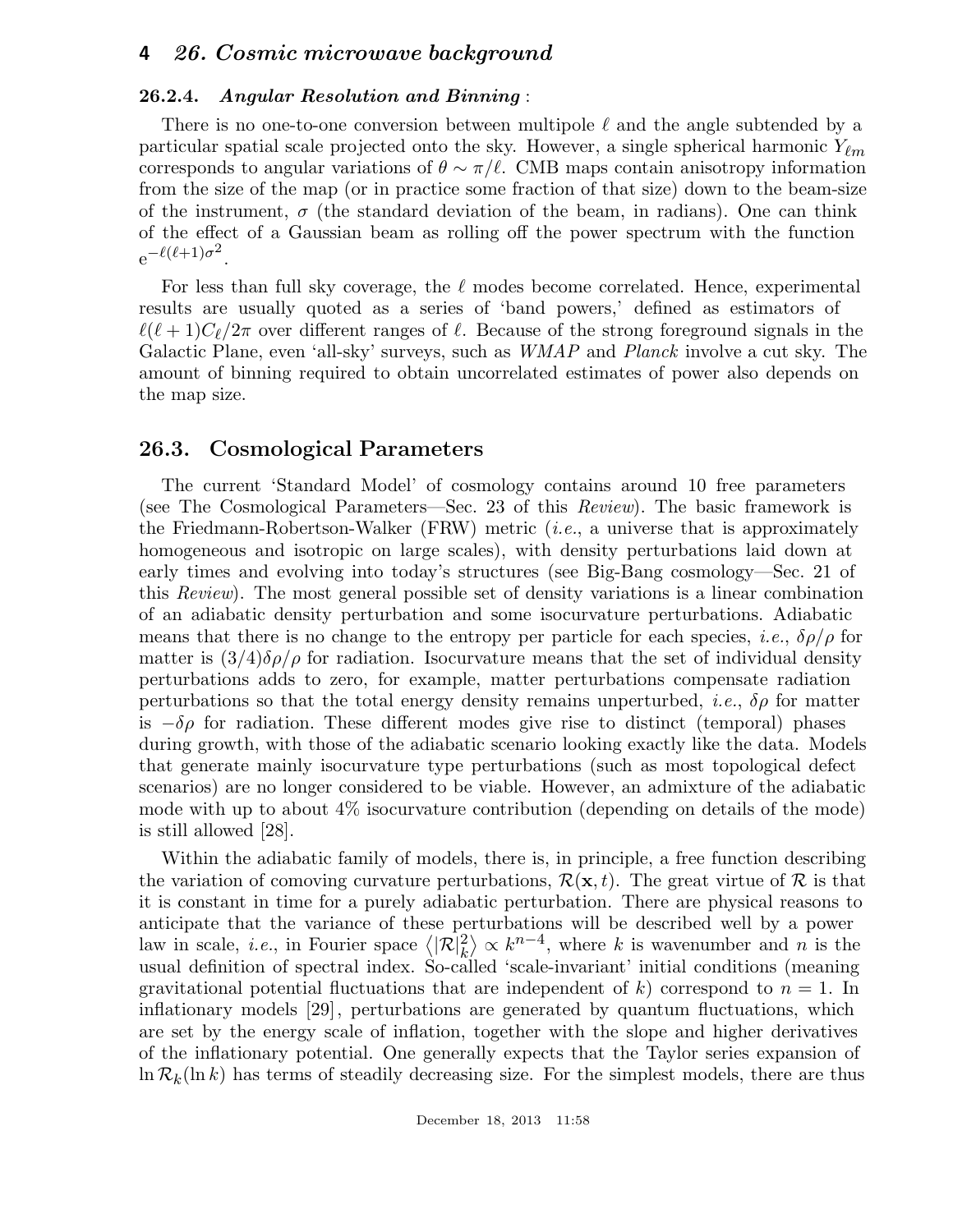### 26.2.4. Angular Resolution and Binning :

There is no one-to-one conversion between multipole  $\ell$  and the angle subtended by a particular spatial scale projected onto the sky. However, a single spherical harmonic  $Y_{\ell m}$ corresponds to angular variations of  $\theta \sim \pi/\ell$ . CMB maps contain anisotropy information from the size of the map (or in practice some fraction of that size) down to the beam-size of the instrument,  $\sigma$  (the standard deviation of the beam, in radians). One can think of the effect of a Gaussian beam as rolling off the power spectrum with the function  $e^{-\ell(\ell+1)\sigma^2}$ .

For less than full sky coverage, the  $\ell$  modes become correlated. Hence, experimental results are usually quoted as a series of 'band powers,' defined as estimators of  $\ell(\ell+1)C_{\ell}/2\pi$  over different ranges of  $\ell$ . Because of the strong foreground signals in the Galactic Plane, even 'all-sky' surveys, such as *WMAP* and *Planck* involve a cut sky. The amount of binning required to obtain uncorrelated estimates of power also depends on the map size.

## 26.3. Cosmological Parameters

The current 'Standard Model' of cosmology contains around 10 free parameters (see The Cosmological Parameters—Sec. 23 of this Review). The basic framework is the Friedmann-Robertson-Walker (FRW) metric  $(i.e., a$  universe that is approximately homogeneous and isotropic on large scales), with density perturbations laid down at early times and evolving into today's structures (see Big-Bang cosmology—Sec. 21 of this Review). The most general possible set of density variations is a linear combination of an adiabatic density perturbation and some isocurvature perturbations. Adiabatic means that there is no change to the entropy per particle for each species, *i.e.*,  $\delta \rho / \rho$  for matter is  $\left(\frac{3}{4}\right)\delta\rho/\rho$  for radiation. Isocurvature means that the set of individual density perturbations adds to zero, for example, matter perturbations compensate radiation perturbations so that the total energy density remains unperturbed, *i.e.*,  $\delta \rho$  for matter is  $-\delta\rho$  for radiation. These different modes give rise to distinct (temporal) phases during growth, with those of the adiabatic scenario looking exactly like the data. Models that generate mainly isocurvature type perturbations (such as most topological defect scenarios) are no longer considered to be viable. However, an admixture of the adiabatic mode with up to about 4% isocurvature contribution (depending on details of the mode) is still allowed [28].

Within the adiabatic family of models, there is, in principle, a free function describing the variation of comoving curvature perturbations,  $\mathcal{R}(\mathbf{x}, t)$ . The great virtue of  $\mathcal{R}$  is that it is constant in time for a purely adiabatic perturbation. There are physical reasons to anticipate that the variance of these perturbations will be described well by a power law in scale, *i.e.*, in Fourier space  $\langle |\mathcal{R}|^2_k \rangle \propto k^{n-4}$ , where k is wavenumber and n is the usual definition of spectral index. So-called 'scale-invariant' initial conditions (meaning gravitational potential fluctuations that are independent of k) correspond to  $n = 1$ . In inflationary models [29], perturbations are generated by quantum fluctuations, which are set by the energy scale of inflation, together with the slope and higher derivatives of the inflationary potential. One generally expects that the Taylor series expansion of  $\ln R_k(\ln k)$  has terms of steadily decreasing size. For the simplest models, there are thus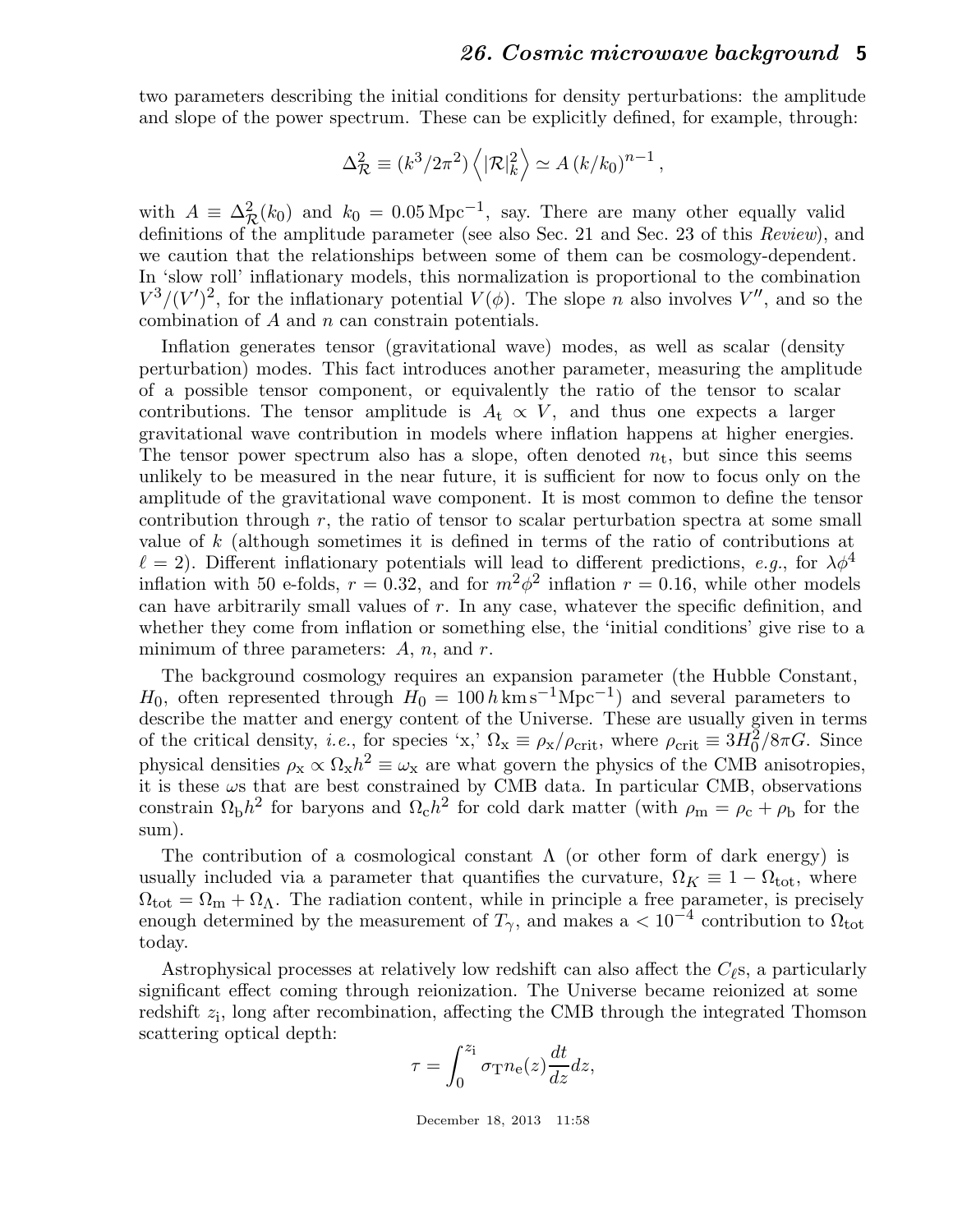### 26. Cosmic microwave background 5

two parameters describing the initial conditions for density perturbations: the amplitude and slope of the power spectrum. These can be explicitly defined, for example, through:

$$
\Delta_{\mathcal{R}}^2 \equiv (k^3/2\pi^2) \left\langle |\mathcal{R}|_k^2 \right\rangle \simeq A \left( k/k_0 \right)^{n-1},
$$

with  $A \equiv \Delta_{\mathcal{R}}^2(k_0)$  and  $k_0 = 0.05 \,\mathrm{Mpc}^{-1}$ , say. There are many other equally valid definitions of the amplitude parameter (see also Sec. 21 and Sec. 23 of this Review), and we caution that the relationships between some of them can be cosmology-dependent. In 'slow roll' inflationary models, this normalization is proportional to the combination  $V^3/(V')^2$ , for the inflationary potential  $V(\phi)$ . The slope n also involves V'', and so the combination of A and n can constrain potentials.

Inflation generates tensor (gravitational wave) modes, as well as scalar (density perturbation) modes. This fact introduces another parameter, measuring the amplitude of a possible tensor component, or equivalently the ratio of the tensor to scalar contributions. The tensor amplitude is  $A_t \propto V$ , and thus one expects a larger gravitational wave contribution in models where inflation happens at higher energies. The tensor power spectrum also has a slope, often denoted  $n_t$ , but since this seems unlikely to be measured in the near future, it is sufficient for now to focus only on the amplitude of the gravitational wave component. It is most common to define the tensor contribution through  $r$ , the ratio of tensor to scalar perturbation spectra at some small value of k (although sometimes it is defined in terms of the ratio of contributions at  $\ell = 2$ ). Different inflationary potentials will lead to different predictions, e.g., for  $\lambda \phi^4$ inflation with 50 e-folds,  $r = 0.32$ , and for  $m^2\phi^2$  inflation  $r = 0.16$ , while other models can have arbitrarily small values of r. In any case, whatever the specific definition, and whether they come from inflation or something else, the 'initial conditions' give rise to a minimum of three parameters:  $A$ ,  $n$ , and  $r$ .

The background cosmology requires an expansion parameter (the Hubble Constant,  $H_0$ , often represented through  $H_0 = 100 h \text{ km s}^{-1} \text{Mpc}^{-1}$ ) and several parameters to describe the matter and energy content of the Universe. These are usually given in terms of the critical density, *i.e.*, for species 'x,'  $\Omega_x \equiv \rho_x/\rho_{\rm crit}$ , where  $\rho_{\rm crit} \equiv 3H_0^2/8\pi G$ . Since physical densities  $\rho_x \propto \Omega_x h^2 \equiv \omega_x$  are what govern the physics of the CMB anisotropies, it is these  $\omega s$  that are best constrained by CMB data. In particular CMB, observations constrain  $\Omega_{\rm b}h^2$  for baryons and  $\Omega_{\rm c}h^2$  for cold dark matter (with  $\rho_{\rm m} = \rho_{\rm c} + \rho_{\rm b}$  for the sum).

The contribution of a cosmological constant  $\Lambda$  (or other form of dark energy) is usually included via a parameter that quantifies the curvature,  $\Omega_K \equiv 1 - \Omega_{tot}$ , where  $\Omega_{\text{tot}} = \Omega_{\text{m}} + \Omega_{\Lambda}$ . The radiation content, while in principle a free parameter, is precisely enough determined by the measurement of  $T_{\gamma}$ , and makes a < 10<sup>-4</sup> contribution to  $\Omega_{\text{tot}}$ today.

Astrophysical processes at relatively low redshift can also affect the  $C_{\ell}$ s, a particularly significant effect coming through reionization. The Universe became reionized at some redshift  $z_i$ , long after recombination, affecting the CMB through the integrated Thomson scattering optical depth:

$$
\tau = \int_0^{z_{\rm i}} \sigma_{\rm T} n_{\rm e}(z) \frac{dt}{dz} dz,
$$

December 18, 2013 11:58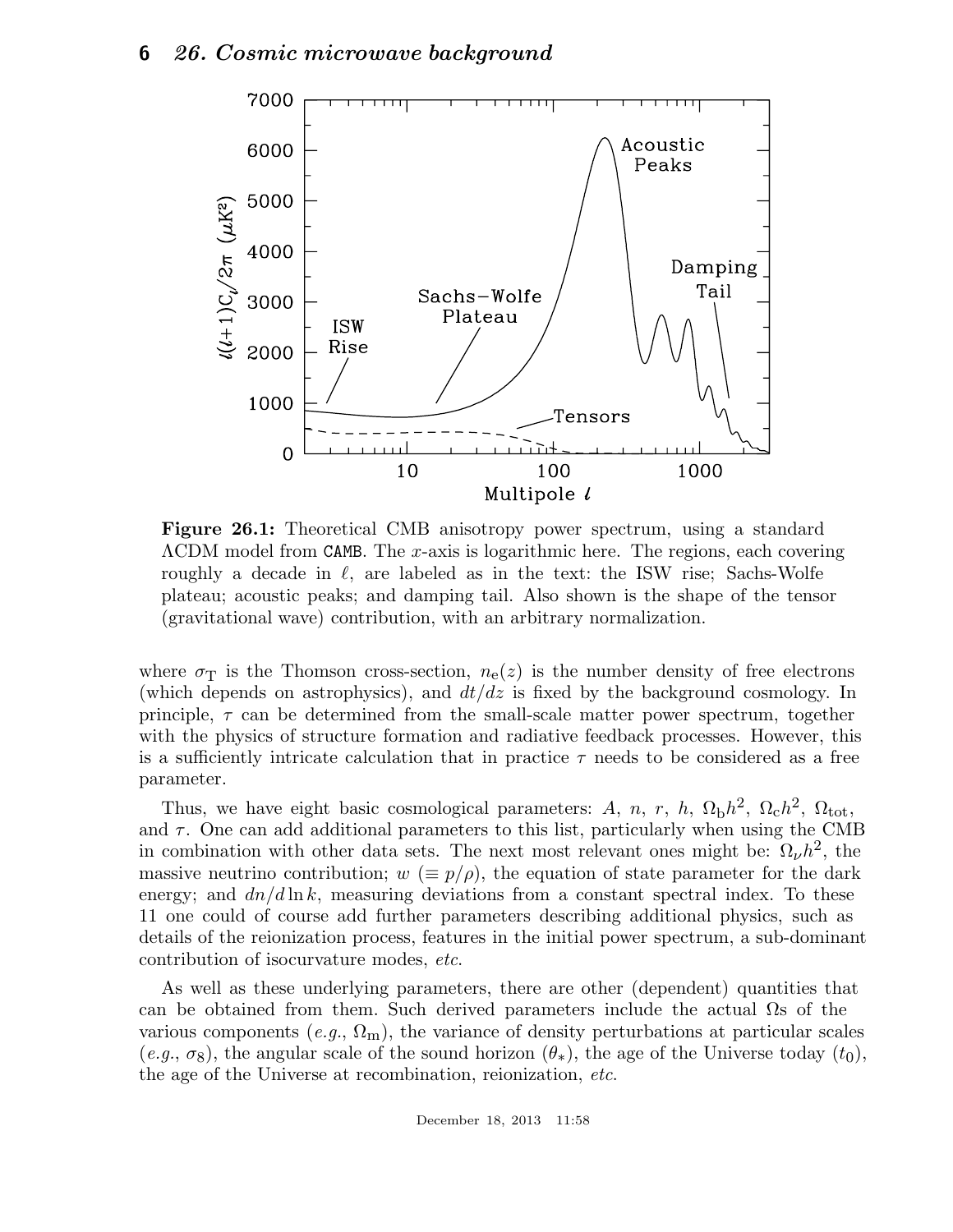

Figure 26.1: Theoretical CMB anisotropy power spectrum, using a standard  $\Lambda$ CDM model from CAMB. The x-axis is logarithmic here. The regions, each covering roughly a decade in  $\ell$ , are labeled as in the text: the ISW rise; Sachs-Wolfe plateau; acoustic peaks; and damping tail. Also shown is the shape of the tensor (gravitational wave) contribution, with an arbitrary normalization.

where  $\sigma_T$  is the Thomson cross-section,  $n_e(z)$  is the number density of free electrons (which depends on astrophysics), and  $dt/dz$  is fixed by the background cosmology. In principle,  $\tau$  can be determined from the small-scale matter power spectrum, together with the physics of structure formation and radiative feedback processes. However, this is a sufficiently intricate calculation that in practice  $\tau$  needs to be considered as a free parameter.

Thus, we have eight basic cosmological parameters: A, n, r, h,  $\Omega_{\rm b}h^2$ ,  $\Omega_{\rm c}h^2$ ,  $\Omega_{\rm tot}$ , and  $\tau$ . One can add additional parameters to this list, particularly when using the CMB in combination with other data sets. The next most relevant ones might be:  $\Omega_{\nu}h^2$ , the massive neutrino contribution;  $w \equiv p/\rho$ , the equation of state parameter for the dark energy; and  $dn/d \ln k$ , measuring deviations from a constant spectral index. To these 11 one could of course add further parameters describing additional physics, such as details of the reionization process, features in the initial power spectrum, a sub-dominant contribution of isocurvature modes, etc.

As well as these underlying parameters, there are other (dependent) quantities that can be obtained from them. Such derived parameters include the actual  $\Omega$ s of the various components (e.g.,  $\Omega_{\rm m}$ ), the variance of density perturbations at particular scales  $(e.g., \sigma_8)$ , the angular scale of the sound horizon  $(\theta_*)$ , the age of the Universe today  $(t_0)$ , the age of the Universe at recombination, reionization, etc.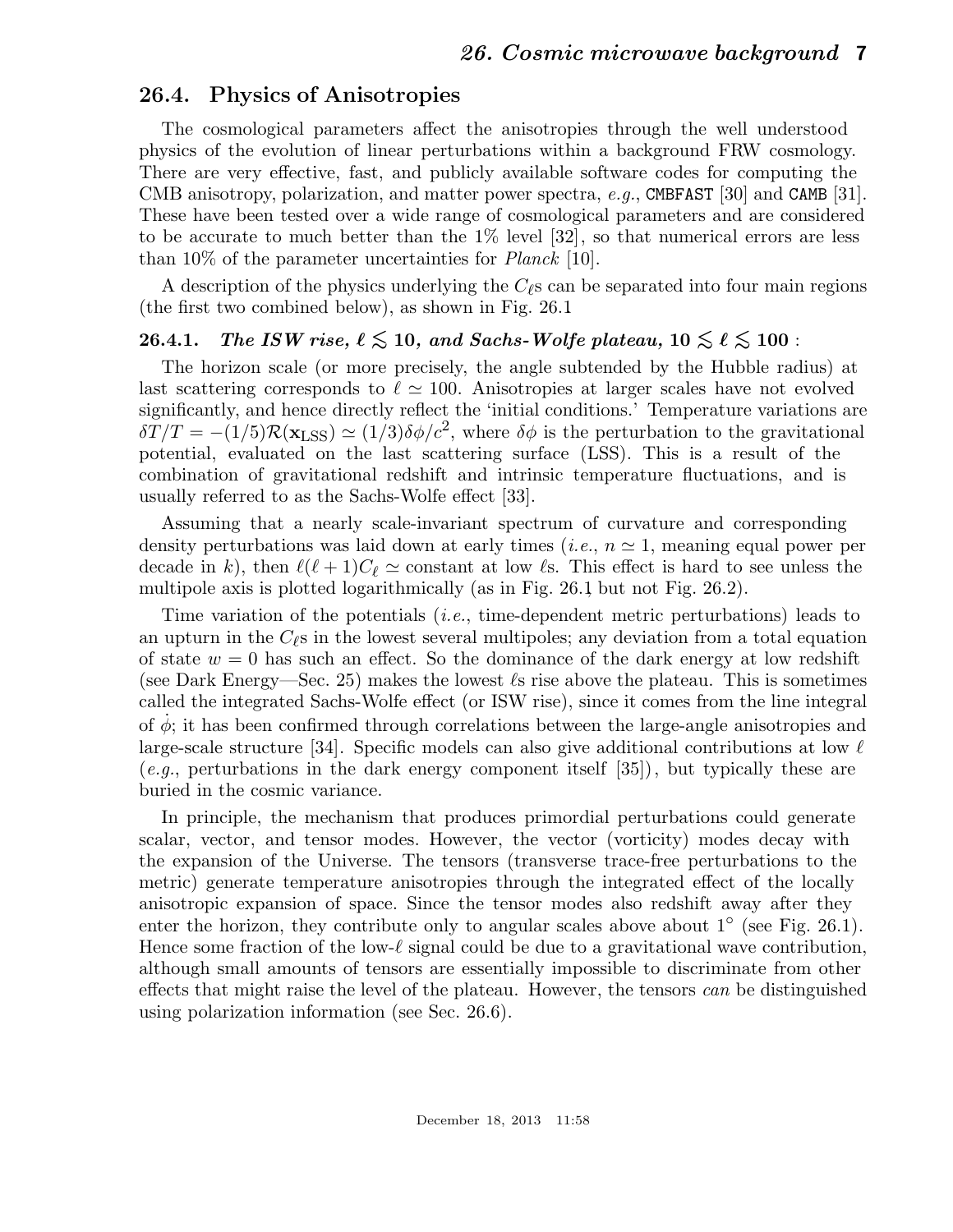## 26.4. Physics of Anisotropies

The cosmological parameters affect the anisotropies through the well understood physics of the evolution of linear perturbations within a background FRW cosmology. There are very effective, fast, and publicly available software codes for computing the CMB anisotropy, polarization, and matter power spectra, e.g., CMBFAST [30] and CAMB [31]. These have been tested over a wide range of cosmological parameters and are considered to be accurate to much better than the  $1\%$  level [32], so that numerical errors are less than 10% of the parameter uncertainties for *Planck* [10].

A description of the physics underlying the  $C_{\ell}$ s can be separated into four main regions (the first two combined below), as shown in Fig. 26.1.

# $26.4.1.$  The ISW rise,  $\ell \lesssim 10,$  and Sachs-Wolfe plateau,  $10 \lesssim \ell \lesssim 100$  :

The horizon scale (or more precisely, the angle subtended by the Hubble radius) at last scattering corresponds to  $\ell \simeq 100$ . Anisotropies at larger scales have not evolved significantly, and hence directly reflect the 'initial conditions.' Temperature variations are  $\delta T/T = -(1/5)\mathcal{R}(\mathbf{x}_{\text{LSS}}) \simeq (1/3)\delta\phi/c^2$ , where  $\delta\phi$  is the perturbation to the gravitational potential, evaluated on the last scattering surface (LSS). This is a result of the combination of gravitational redshift and intrinsic temperature fluctuations, and is usually referred to as the Sachs-Wolfe effect [33].

Assuming that a nearly scale-invariant spectrum of curvature and corresponding density perturbations was laid down at early times (*i.e.*,  $n \approx 1$ , meaning equal power per decade in k), then  $\ell(\ell+1)C_\ell \simeq$  constant at low  $\ell$ s. This effect is hard to see unless the multipole axis is plotted logarithmically (as in Fig. 26.1, but not Fig. 26.2).

Time variation of the potentials (i.e., time-dependent metric perturbations) leads to an upturn in the  $C_{\ell}$ s in the lowest several multipoles; any deviation from a total equation of state  $w = 0$  has such an effect. So the dominance of the dark energy at low redshift (see Dark Energy—Sec. 25) makes the lowest  $\ell$ s rise above the plateau. This is sometimes called the integrated Sachs-Wolfe effect (or ISW rise), since it comes from the line integral of  $\dot{\phi}$ ; it has been confirmed through correlations between the large-angle anisotropies and large-scale structure [34]. Specific models can also give additional contributions at low  $\ell$ (e.g., perturbations in the dark energy component itself  $[35]$ ), but typically these are buried in the cosmic variance.

In principle, the mechanism that produces primordial perturbations could generate scalar, vector, and tensor modes. However, the vector (vorticity) modes decay with the expansion of the Universe. The tensors (transverse trace-free perturbations to the metric) generate temperature anisotropies through the integrated effect of the locally anisotropic expansion of space. Since the tensor modes also redshift away after they enter the horizon, they contribute only to angular scales above about  $1^\circ$  (see Fig. 26.1). Hence some fraction of the low- $\ell$  signal could be due to a gravitational wave contribution. although small amounts of tensors are essentially impossible to discriminate from other effects that might raise the level of the plateau. However, the tensors can be distinguished using polarization information (see Sec. 26.6).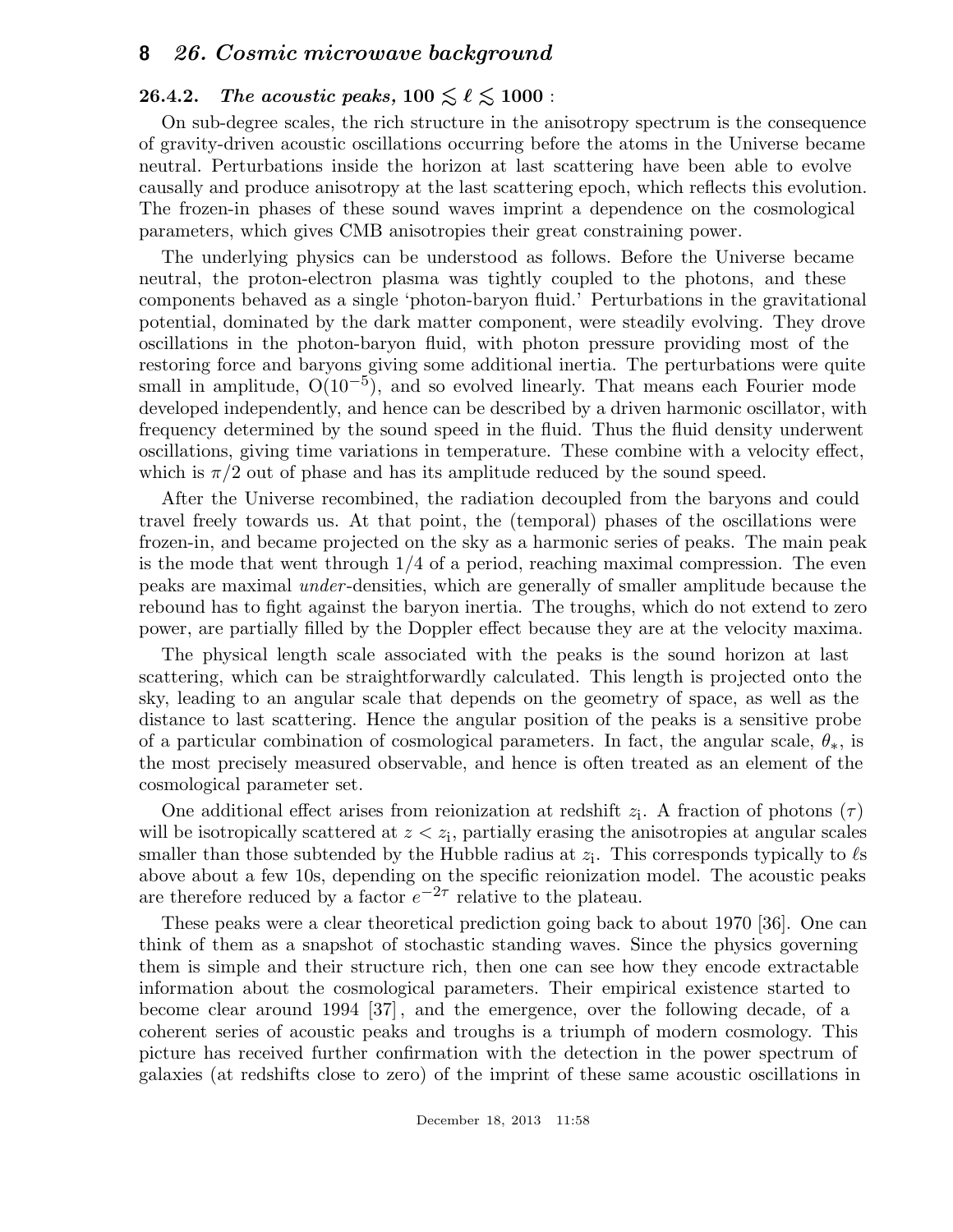# 26.4.2. The acoustic peaks,  $100 \lesssim \ell \lesssim 1000$  :

On sub-degree scales, the rich structure in the anisotropy spectrum is the consequence of gravity-driven acoustic oscillations occurring before the atoms in the Universe became neutral. Perturbations inside the horizon at last scattering have been able to evolve causally and produce anisotropy at the last scattering epoch, which reflects this evolution. The frozen-in phases of these sound waves imprint a dependence on the cosmological parameters, which gives CMB anisotropies their great constraining power.

The underlying physics can be understood as follows. Before the Universe became neutral, the proton-electron plasma was tightly coupled to the photons, and these components behaved as a single 'photon-baryon fluid.' Perturbations in the gravitational potential, dominated by the dark matter component, were steadily evolving. They drove oscillations in the photon-baryon fluid, with photon pressure providing most of the restoring force and baryons giving some additional inertia. The perturbations were quite small in amplitude,  $O(10^{-5})$ , and so evolved linearly. That means each Fourier mode developed independently, and hence can be described by a driven harmonic oscillator, with frequency determined by the sound speed in the fluid. Thus the fluid density underwent oscillations, giving time variations in temperature. These combine with a velocity effect, which is  $\pi/2$  out of phase and has its amplitude reduced by the sound speed.

After the Universe recombined, the radiation decoupled from the baryons and could travel freely towards us. At that point, the (temporal) phases of the oscillations were frozen-in, and became projected on the sky as a harmonic series of peaks. The main peak is the mode that went through 1/4 of a period, reaching maximal compression. The even peaks are maximal under -densities, which are generally of smaller amplitude because the rebound has to fight against the baryon inertia. The troughs, which do not extend to zero power, are partially filled by the Doppler effect because they are at the velocity maxima.

The physical length scale associated with the peaks is the sound horizon at last scattering, which can be straightforwardly calculated. This length is projected onto the sky, leading to an angular scale that depends on the geometry of space, as well as the distance to last scattering. Hence the angular position of the peaks is a sensitive probe of a particular combination of cosmological parameters. In fact, the angular scale,  $\theta_*$ , is the most precisely measured observable, and hence is often treated as an element of the cosmological parameter set.

One additional effect arises from reionization at redshift  $z_i$ . A fraction of photons  $(\tau)$ will be isotropically scattered at  $z < z_i$ , partially erasing the anisotropies at angular scales smaller than those subtended by the Hubble radius at  $z_i$ . This corresponds typically to  $\ell$ s above about a few 10s, depending on the specific reionization model. The acoustic peaks are therefore reduced by a factor  $e^{-2\tau}$  relative to the plateau.

These peaks were a clear theoretical prediction going back to about 1970 [36]. One can think of them as a snapshot of stochastic standing waves. Since the physics governing them is simple and their structure rich, then one can see how they encode extractable information about the cosmological parameters. Their empirical existence started to become clear around 1994 [37], and the emergence, over the following decade, of a coherent series of acoustic peaks and troughs is a triumph of modern cosmology. This picture has received further confirmation with the detection in the power spectrum of galaxies (at redshifts close to zero) of the imprint of these same acoustic oscillations in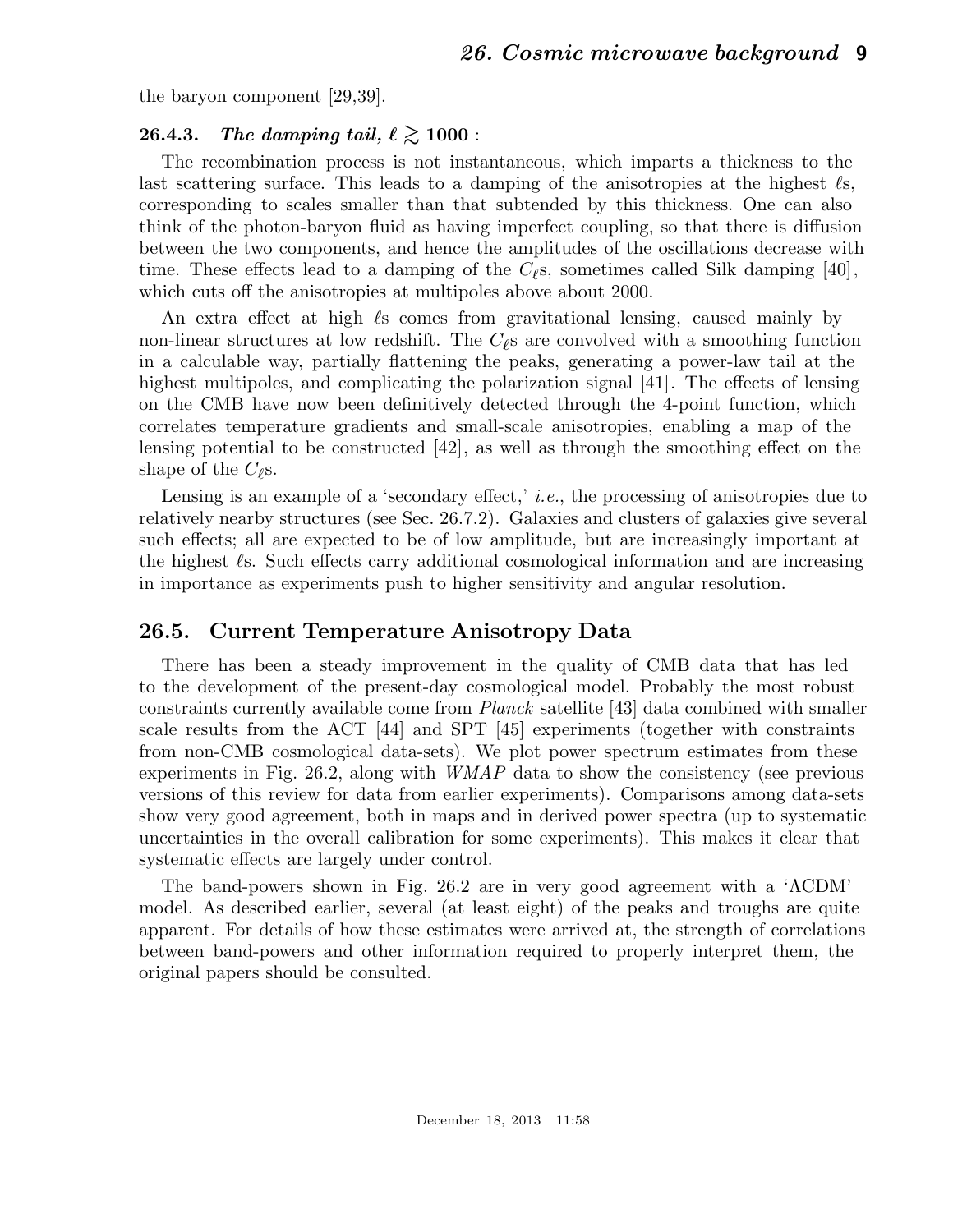the baryon component [29,39].

# 26.4.3. The damping tail,  $\ell \gtrsim 1000$ :

The recombination process is not instantaneous, which imparts a thickness to the last scattering surface. This leads to a damping of the anisotropies at the highest  $\ell$ s, corresponding to scales smaller than that subtended by this thickness. One can also think of the photon-baryon fluid as having imperfect coupling, so that there is diffusion between the two components, and hence the amplitudes of the oscillations decrease with time. These effects lead to a damping of the  $C_{\ell}$ s, sometimes called Silk damping [40], which cuts off the anisotropies at multipoles above about 2000.

An extra effect at high  $\ell$ s comes from gravitational lensing, caused mainly by non-linear structures at low redshift. The  $C_{\ell}$ s are convolved with a smoothing function in a calculable way, partially flattening the peaks, generating a power-law tail at the highest multipoles, and complicating the polarization signal [41]. The effects of lensing on the CMB have now been definitively detected through the 4-point function, which correlates temperature gradients and small-scale anisotropies, enabling a map of the lensing potential to be constructed [42], as well as through the smoothing effect on the shape of the  $C_{\ell}$ s.

Lensing is an example of a 'secondary effect,' *i.e.*, the processing of anisotropies due to relatively nearby structures (see Sec. 26.7.2). Galaxies and clusters of galaxies give several such effects; all are expected to be of low amplitude, but are increasingly important at the highest ℓs. Such effects carry additional cosmological information and are increasing in importance as experiments push to higher sensitivity and angular resolution.

### 26.5. Current Temperature Anisotropy Data

There has been a steady improvement in the quality of CMB data that has led to the development of the present-day cosmological model. Probably the most robust constraints currently available come from Planck satellite [43] data combined with smaller scale results from the ACT [44] and SPT [45] experiments (together with constraints from non-CMB cosmological data-sets). We plot power spectrum estimates from these experiments in Fig. 26.2, along with  $WMAP$  data to show the consistency (see previous versions of this review for data from earlier experiments). Comparisons among data-sets show very good agreement, both in maps and in derived power spectra (up to systematic uncertainties in the overall calibration for some experiments). This makes it clear that systematic effects are largely under control.

The band-powers shown in Fig. 26.2 are in very good agreement with a 'ΛCDM' model. As described earlier, several (at least eight) of the peaks and troughs are quite apparent. For details of how these estimates were arrived at, the strength of correlations between band-powers and other information required to properly interpret them, the original papers should be consulted.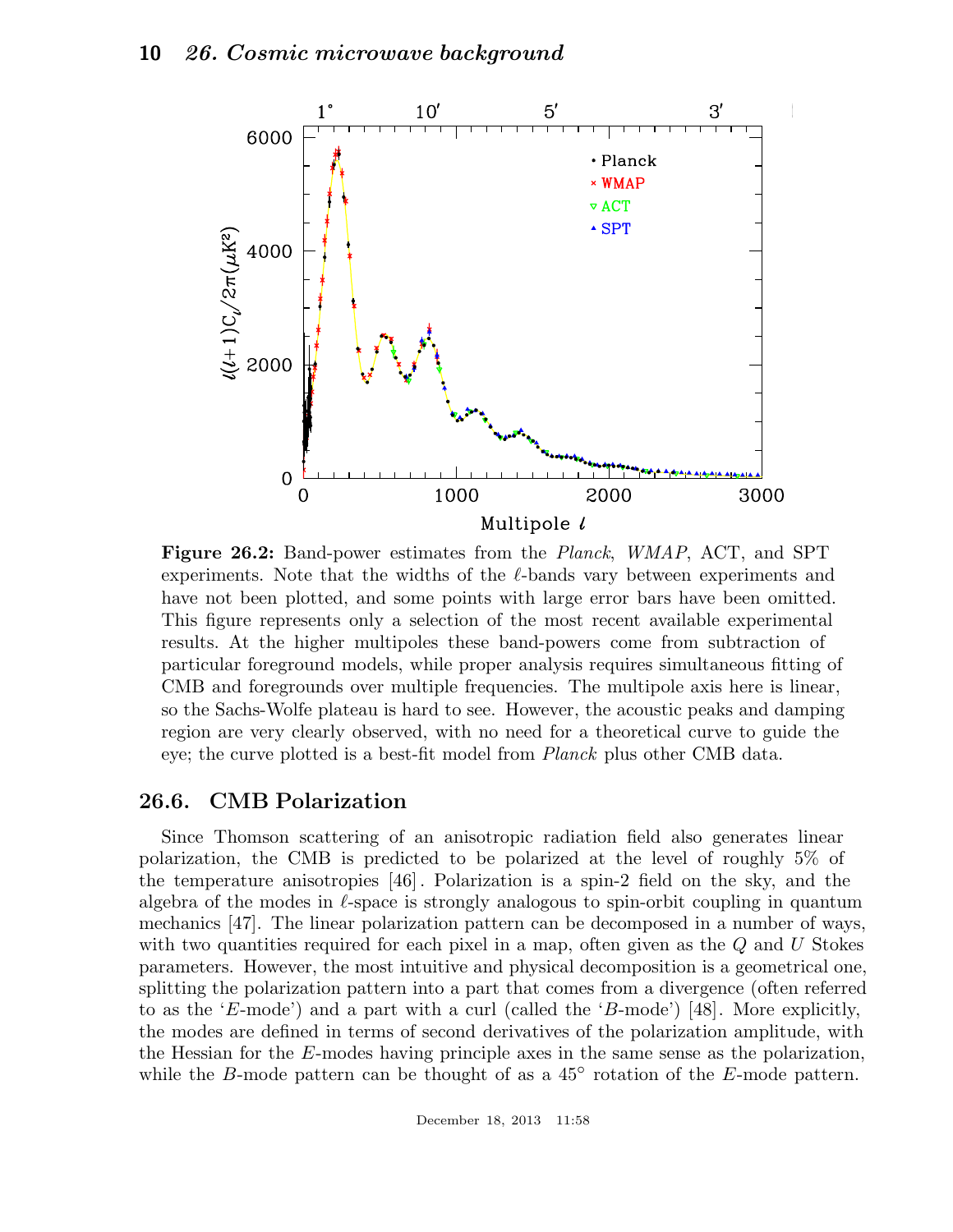

Figure 26.2: Band-power estimates from the *Planck*, WMAP, ACT, and SPT experiments. Note that the widths of the  $\ell$ -bands vary between experiments and have not been plotted, and some points with large error bars have been omitted. This figure represents only a selection of the most recent available experimental results. At the higher multipoles these band-powers come from subtraction of particular foreground models, while proper analysis requires simultaneous fitting of CMB and foregrounds over multiple frequencies. The multipole axis here is linear, so the Sachs-Wolfe plateau is hard to see. However, the acoustic peaks and damping region are very clearly observed, with no need for a theoretical curve to guide the eye; the curve plotted is a best-fit model from Planck plus other CMB data.

## 26.6. CMB Polarization

Since Thomson scattering of an anisotropic radiation field also generates linear polarization, the CMB is predicted to be polarized at the level of roughly 5% of the temperature anisotropies [46]. Polarization is a spin-2 field on the sky, and the algebra of the modes in  $\ell$ -space is strongly analogous to spin-orbit coupling in quantum mechanics [47]. The linear polarization pattern can be decomposed in a number of ways, with two quantities required for each pixel in a map, often given as the  $Q$  and  $U$  Stokes parameters. However, the most intuitive and physical decomposition is a geometrical one, splitting the polarization pattern into a part that comes from a divergence (often referred to as the 'E-mode') and a part with a curl (called the 'B-mode') [48]. More explicitly, the modes are defined in terms of second derivatives of the polarization amplitude, with the Hessian for the E-modes having principle axes in the same sense as the polarization, while the B-mode pattern can be thought of as a  $45^{\circ}$  rotation of the E-mode pattern.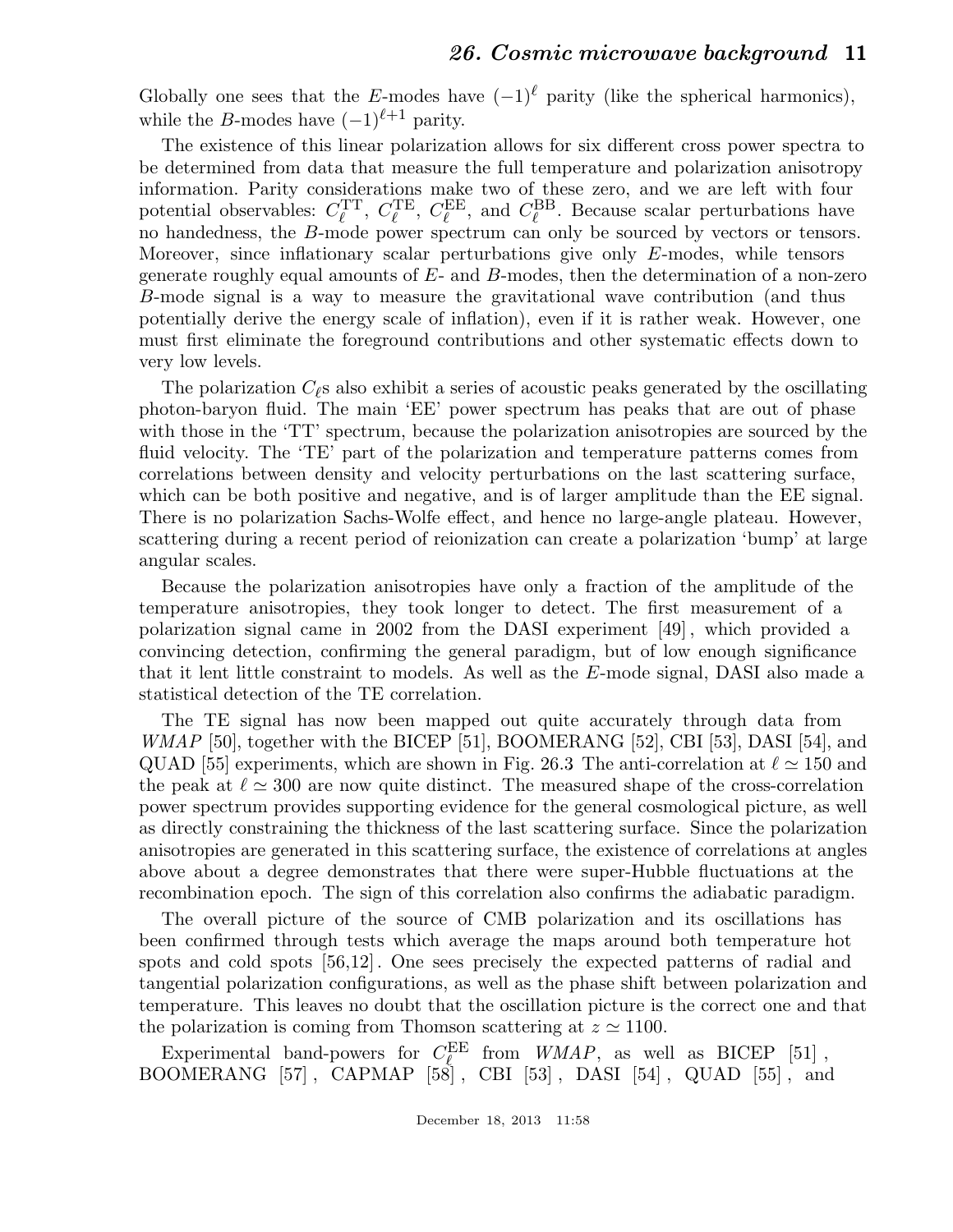Globally one sees that the E-modes have  $(-1)^{\ell}$  parity (like the spherical harmonics), while the B-modes have  $(-1)^{\ell+1}$  parity.

The existence of this linear polarization allows for six different cross power spectra to be determined from data that measure the full temperature and polarization anisotropy information. Parity considerations make two of these zero, and we are left with four potential observables:  $C_{\ell}^{\text{TT}}$  $\ell \atop \ell},\ C_{\ell}^{\rm TE}$  $\ell^{\text{TE}},\ C_{\ell}^{\text{EE}}$  $\ell^{\text{EE}}$ , and  $C_{\ell}^{\text{BB}}$  $\ell^{\text{BB}}$ . Because scalar perturbations have no handedness, the B-mode power spectrum can only be sourced by vectors or tensors. Moreover, since inflationary scalar perturbations give only E-modes, while tensors generate roughly equal amounts of  $E$ - and  $B$ -modes, then the determination of a non-zero B-mode signal is a way to measure the gravitational wave contribution (and thus potentially derive the energy scale of inflation), even if it is rather weak. However, one must first eliminate the foreground contributions and other systematic effects down to very low levels.

The polarization  $C_{\ell}$ s also exhibit a series of acoustic peaks generated by the oscillating photon-baryon fluid. The main 'EE' power spectrum has peaks that are out of phase with those in the 'TT' spectrum, because the polarization anisotropies are sourced by the fluid velocity. The 'TE' part of the polarization and temperature patterns comes from correlations between density and velocity perturbations on the last scattering surface, which can be both positive and negative, and is of larger amplitude than the EE signal. There is no polarization Sachs-Wolfe effect, and hence no large-angle plateau. However, scattering during a recent period of reionization can create a polarization 'bump' at large angular scales.

Because the polarization anisotropies have only a fraction of the amplitude of the temperature anisotropies, they took longer to detect. The first measurement of a polarization signal came in 2002 from the DASI experiment [49], which provided a convincing detection, confirming the general paradigm, but of low enough significance that it lent little constraint to models. As well as the E-mode signal, DASI also made a statistical detection of the TE correlation.

The TE signal has now been mapped out quite accurately through data from WMAP [50], together with the BICEP [51], BOOMERANG [52], CBI [53], DASI [54], and QUAD [55] experiments, which are shown in Fig. 26.3. The anti-correlation at  $\ell \simeq 150$  and the peak at  $\ell \simeq 300$  are now quite distinct. The measured shape of the cross-correlation power spectrum provides supporting evidence for the general cosmological picture, as well as directly constraining the thickness of the last scattering surface. Since the polarization anisotropies are generated in this scattering surface, the existence of correlations at angles above about a degree demonstrates that there were super-Hubble fluctuations at the recombination epoch. The sign of this correlation also confirms the adiabatic paradigm.

The overall picture of the source of CMB polarization and its oscillations has been confirmed through tests which average the maps around both temperature hot spots and cold spots [56,12]. One sees precisely the expected patterns of radial and tangential polarization configurations, as well as the phase shift between polarization and temperature. This leaves no doubt that the oscillation picture is the correct one and that the polarization is coming from Thomson scattering at  $z \approx 1100$ .

Experimental band-powers for  $C_{\ell}^{\text{EE}}$  $\ell$  from *WMAP*, as well as BICEP [51], BOOMERANG [57] , CAPMAP [58] , CBI [53] , DASI [54] , QUAD [55] , and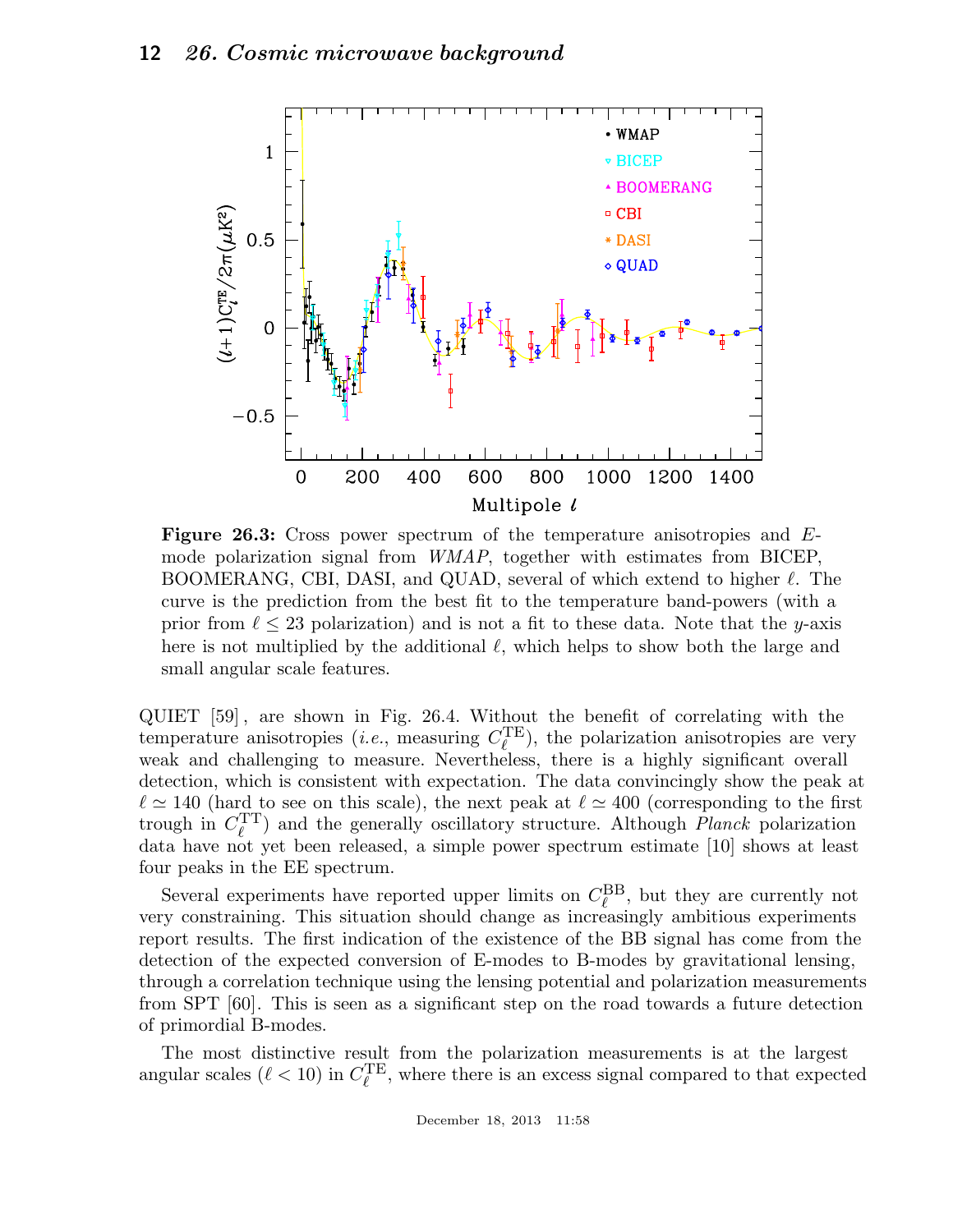

Figure 26.3: Cross power spectrum of the temperature anisotropies and Emode polarization signal from WMAP, together with estimates from BICEP, BOOMERANG, CBI, DASI, and QUAD, several of which extend to higher  $\ell$ . The curve is the prediction from the best fit to the temperature band-powers (with a prior from  $\ell \leq 23$  polarization) and is not a fit to these data. Note that the y-axis here is not multiplied by the additional  $\ell$ , which helps to show both the large and small angular scale features.

QUIET [59] , are shown in Fig. 26.4. Without the benefit of correlating with the temperature anisotropies (*i.e.*, measuring  $C_{\ell}^{TE}$  $\ell_{\ell}^{(TE)}$ , the polarization anisotropies are very weak and challenging to measure. Nevertheless, there is a highly significant overall detection, which is consistent with expectation. The data convincingly show the peak at  $\ell \simeq 140$  (hard to see on this scale), the next peak at  $\ell \simeq 400$  (corresponding to the first trough in  $C_{\ell}^{\text{TT}}$  $\ell_{\ell}^{[TT]}$  and the generally oscillatory structure. Although *Planck* polarization data have not yet been released, a simple power spectrum estimate [10] shows at least four peaks in the EE spectrum.

Several experiments have reported upper limits on  $C_{\ell}^{\text{BB}}$  $\ell^{\text{BB}}$ , but they are currently not very constraining. This situation should change as increasingly ambitious experiments report results. The first indication of the existence of the BB signal has come from the detection of the expected conversion of E-modes to B-modes by gravitational lensing, through a correlation technique using the lensing potential and polarization measurements from SPT [60]. This is seen as a significant step on the road towards a future detection of primordial B-modes.

The most distinctive result from the polarization measurements is at the largest angular scales ( $\ell < 10$ ) in  $C_{\ell}^{TE}$  $\ell^{\text{TE}}$ , where there is an excess signal compared to that expected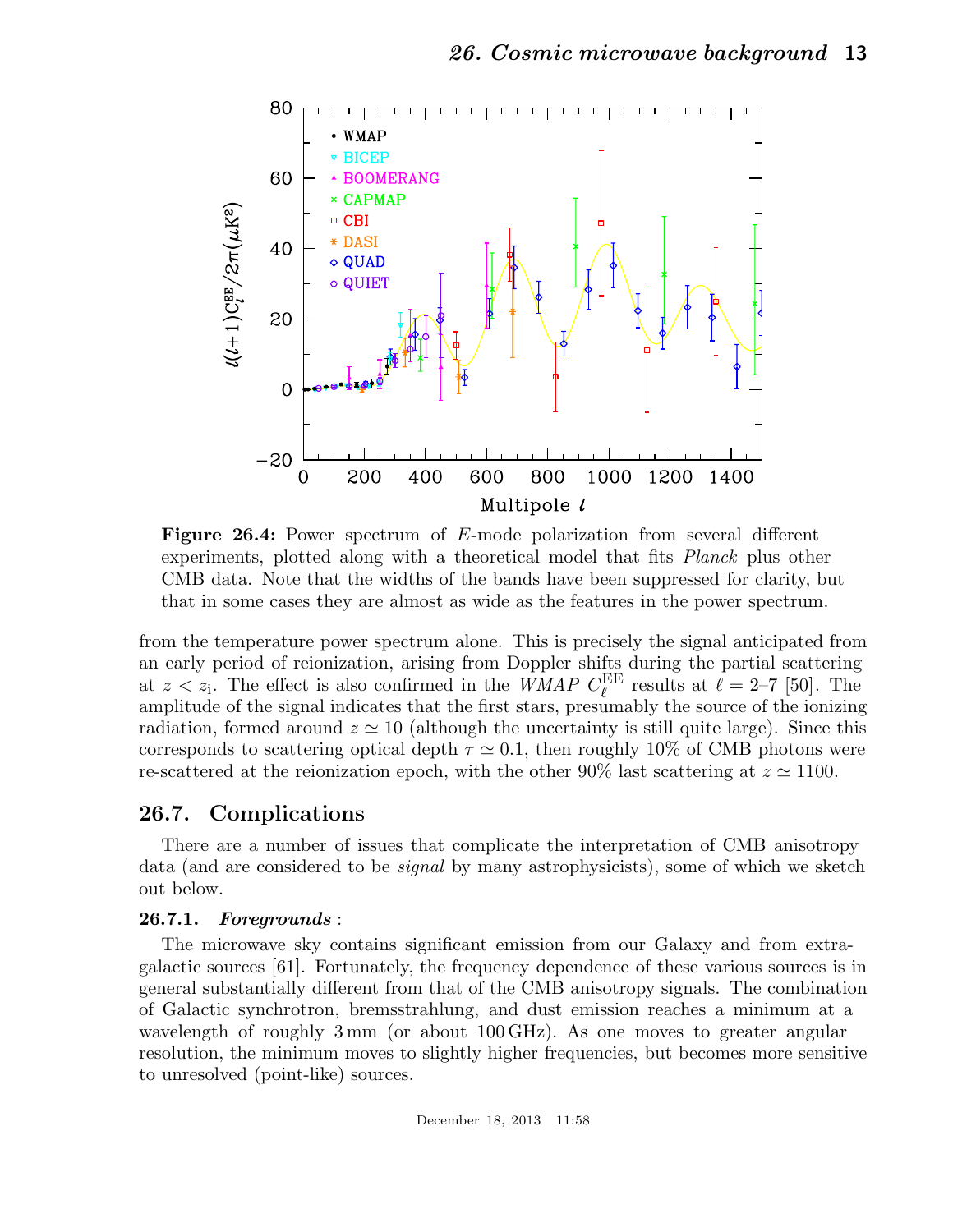

Figure 26.4: Power spectrum of E-mode polarization from several different experiments, plotted along with a theoretical model that fits Planck plus other CMB data. Note that the widths of the bands have been suppressed for clarity, but that in some cases they are almost as wide as the features in the power spectrum.

from the temperature power spectrum alone. This is precisely the signal anticipated from an early period of reionization, arising from Doppler shifts during the partial scattering at  $z < z_i$ . The effect is also confirmed in the WMAP  $C_{\ell}^{\text{EE}}$  $\ell \neq$  results at  $\ell = 2-7$  [50]. The amplitude of the signal indicates that the first stars, presumably the source of the ionizing radiation, formed around  $z \approx 10$  (although the uncertainty is still quite large). Since this corresponds to scattering optical depth  $\tau \simeq 0.1$ , then roughly 10% of CMB photons were re-scattered at the reionization epoch, with the other 90% last scattering at  $z \approx 1100$ .

# 26.7. Complications

There are a number of issues that complicate the interpretation of CMB anisotropy data (and are considered to be signal by many astrophysicists), some of which we sketch out below.

### 26.7.1. Foregrounds :

The microwave sky contains significant emission from our Galaxy and from extragalactic sources [61]. Fortunately, the frequency dependence of these various sources is in general substantially different from that of the CMB anisotropy signals. The combination of Galactic synchrotron, bremsstrahlung, and dust emission reaches a minimum at a wavelength of roughly 3 mm (or about 100 GHz). As one moves to greater angular resolution, the minimum moves to slightly higher frequencies, but becomes more sensitive to unresolved (point-like) sources.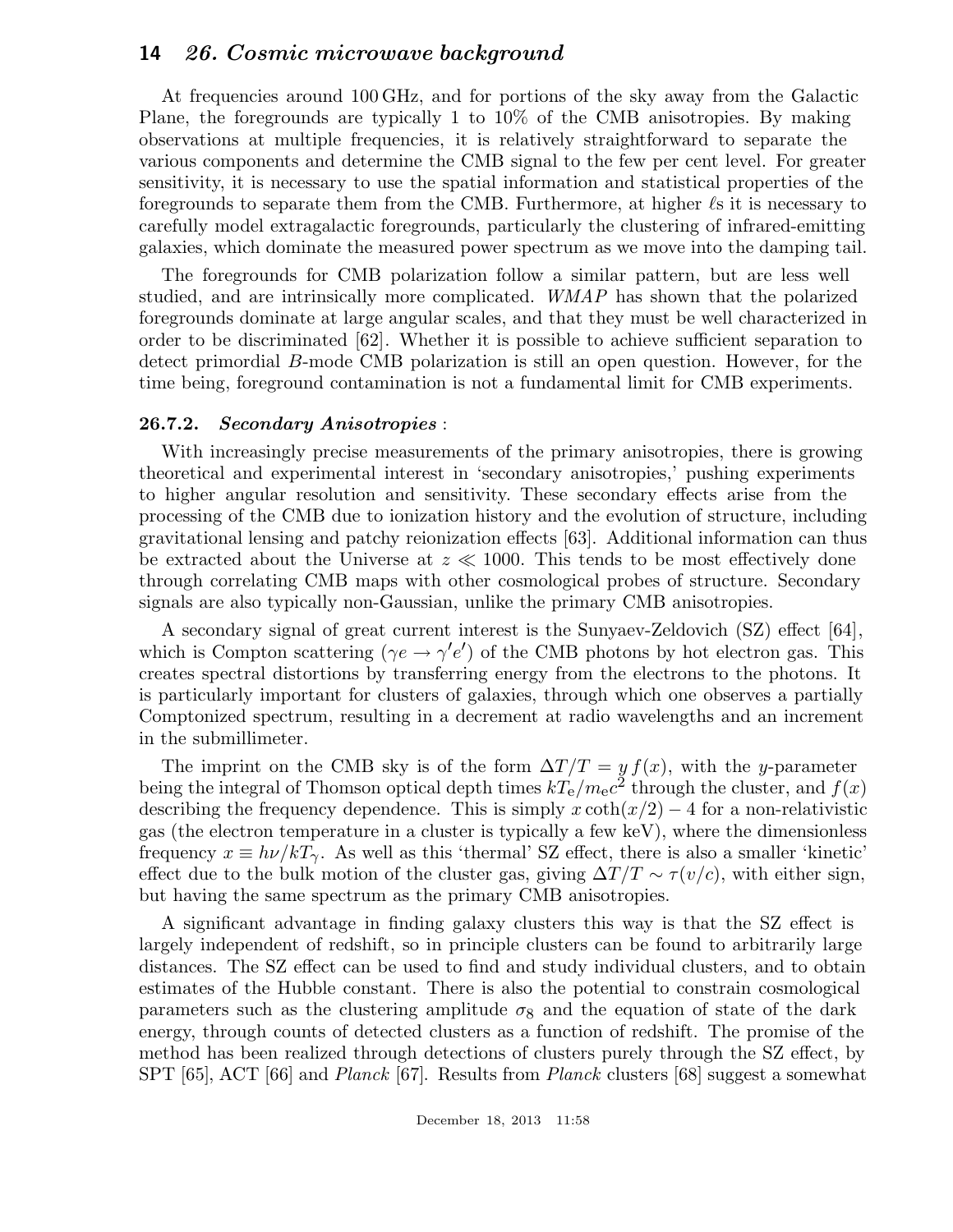### 14 26. Cosmic microwave background

At frequencies around 100 GHz, and for portions of the sky away from the Galactic Plane, the foregrounds are typically 1 to 10% of the CMB anisotropies. By making observations at multiple frequencies, it is relatively straightforward to separate the various components and determine the CMB signal to the few per cent level. For greater sensitivity, it is necessary to use the spatial information and statistical properties of the foregrounds to separate them from the CMB. Furthermore, at higher  $\ell$ s it is necessary to carefully model extragalactic foregrounds, particularly the clustering of infrared-emitting galaxies, which dominate the measured power spectrum as we move into the damping tail.

The foregrounds for CMB polarization follow a similar pattern, but are less well studied, and are intrinsically more complicated. WMAP has shown that the polarized foregrounds dominate at large angular scales, and that they must be well characterized in order to be discriminated [62]. Whether it is possible to achieve sufficient separation to detect primordial B-mode CMB polarization is still an open question. However, for the time being, foreground contamination is not a fundamental limit for CMB experiments.

#### 26.7.2. Secondary Anisotropies :

With increasingly precise measurements of the primary anisotropies, there is growing theoretical and experimental interest in 'secondary anisotropies,' pushing experiments to higher angular resolution and sensitivity. These secondary effects arise from the processing of the CMB due to ionization history and the evolution of structure, including gravitational lensing and patchy reionization effects [63]. Additional information can thus be extracted about the Universe at  $z \ll 1000$ . This tends to be most effectively done through correlating CMB maps with other cosmological probes of structure. Secondary signals are also typically non-Gaussian, unlike the primary CMB anisotropies.

A secondary signal of great current interest is the Sunyaev-Zeldovich (SZ) effect [64], which is Compton scattering  $(\gamma e \to \gamma' e')$  of the CMB photons by hot electron gas. This creates spectral distortions by transferring energy from the electrons to the photons. It is particularly important for clusters of galaxies, through which one observes a partially Comptonized spectrum, resulting in a decrement at radio wavelengths and an increment in the submillimeter.

The imprint on the CMB sky is of the form  $\Delta T/T = y f(x)$ , with the y-parameter being the integral of Thomson optical depth times  $kT_e/m_ec^2$  through the cluster, and  $f(x)$ describing the frequency dependence. This is simply  $x \coth(x/2) - 4$  for a non-relativistic gas (the electron temperature in a cluster is typically a few keV), where the dimensionless frequency  $x \equiv h\nu/kT_{\gamma}$ . As well as this 'thermal' SZ effect, there is also a smaller 'kinetic' effect due to the bulk motion of the cluster gas, giving  $\Delta T/T \sim \tau (v/c)$ , with either sign, but having the same spectrum as the primary CMB anisotropies.

A significant advantage in finding galaxy clusters this way is that the SZ effect is largely independent of redshift, so in principle clusters can be found to arbitrarily large distances. The SZ effect can be used to find and study individual clusters, and to obtain estimates of the Hubble constant. There is also the potential to constrain cosmological parameters such as the clustering amplitude  $\sigma_8$  and the equation of state of the dark energy, through counts of detected clusters as a function of redshift. The promise of the method has been realized through detections of clusters purely through the SZ effect, by SPT [65], ACT [66] and *Planck* [67]. Results from *Planck* clusters [68] suggest a somewhat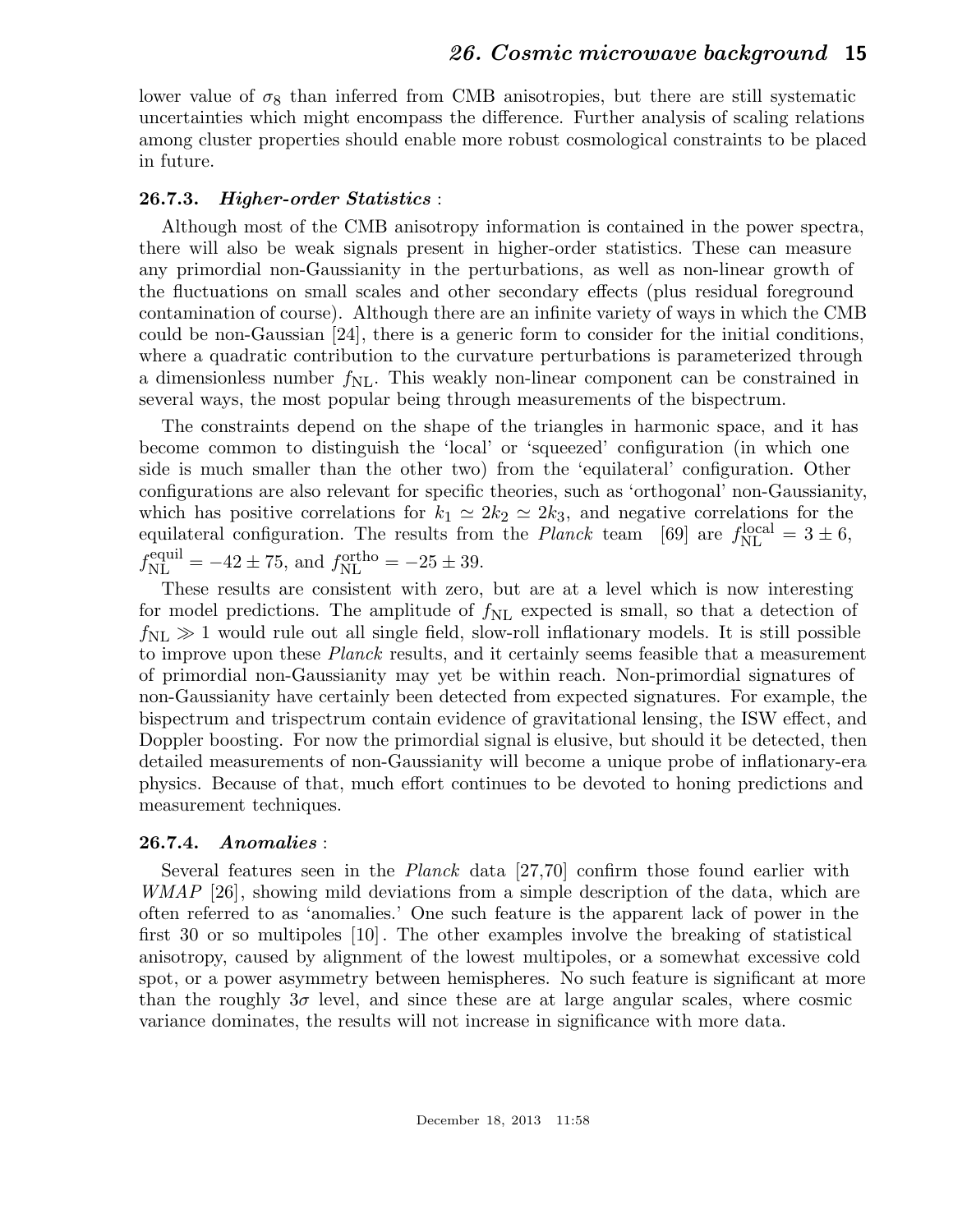lower value of  $\sigma_8$  than inferred from CMB anisotropies, but there are still systematic uncertainties which might encompass the difference. Further analysis of scaling relations among cluster properties should enable more robust cosmological constraints to be placed in future.

### 26.7.3. Higher-order Statistics :

Although most of the CMB anisotropy information is contained in the power spectra, there will also be weak signals present in higher-order statistics. These can measure any primordial non-Gaussianity in the perturbations, as well as non-linear growth of the fluctuations on small scales and other secondary effects (plus residual foreground contamination of course). Although there are an infinite variety of ways in which the CMB could be non-Gaussian [24], there is a generic form to consider for the initial conditions, where a quadratic contribution to the curvature perturbations is parameterized through a dimensionless number  $f_{\text{NL}}$ . This weakly non-linear component can be constrained in several ways, the most popular being through measurements of the bispectrum.

The constraints depend on the shape of the triangles in harmonic space, and it has become common to distinguish the 'local' or 'squeezed' configuration (in which one side is much smaller than the other two) from the 'equilateral' configuration. Other configurations are also relevant for specific theories, such as 'orthogonal' non-Gaussianity, which has positive correlations for  $k_1 \simeq 2k_2 \simeq 2k_3$ , and negative correlations for the equilateral configuration. The results from the *Planck* team [69] are  $f_{\text{NL}}^{\text{local}} = 3 \pm 6$ ,  $f_{\rm NL}^{\rm equil} = -42 \pm 75$ , and  $f_{\rm NL}^{\rm ortho} = -25 \pm 39$ .

These results are consistent with zero, but are at a level which is now interesting for model predictions. The amplitude of  $f_{\rm NL}$  expected is small, so that a detection of  $f_{\rm NL} \gg 1$  would rule out all single field, slow-roll inflationary models. It is still possible to improve upon these *Planck* results, and it certainly seems feasible that a measurement of primordial non-Gaussianity may yet be within reach. Non-primordial signatures of non-Gaussianity have certainly been detected from expected signatures. For example, the bispectrum and trispectrum contain evidence of gravitational lensing, the ISW effect, and Doppler boosting. For now the primordial signal is elusive, but should it be detected, then detailed measurements of non-Gaussianity will become a unique probe of inflationary-era physics. Because of that, much effort continues to be devoted to honing predictions and measurement techniques.

### 26.7.4. Anomalies :

Several features seen in the Planck data [27,70] confirm those found earlier with  $WMAP$  [26], showing mild deviations from a simple description of the data, which are often referred to as 'anomalies.' One such feature is the apparent lack of power in the first 30 or so multipoles [10]. The other examples involve the breaking of statistical anisotropy, caused by alignment of the lowest multipoles, or a somewhat excessive cold spot, or a power asymmetry between hemispheres. No such feature is significant at more than the roughly  $3\sigma$  level, and since these are at large angular scales, where cosmic variance dominates, the results will not increase in significance with more data.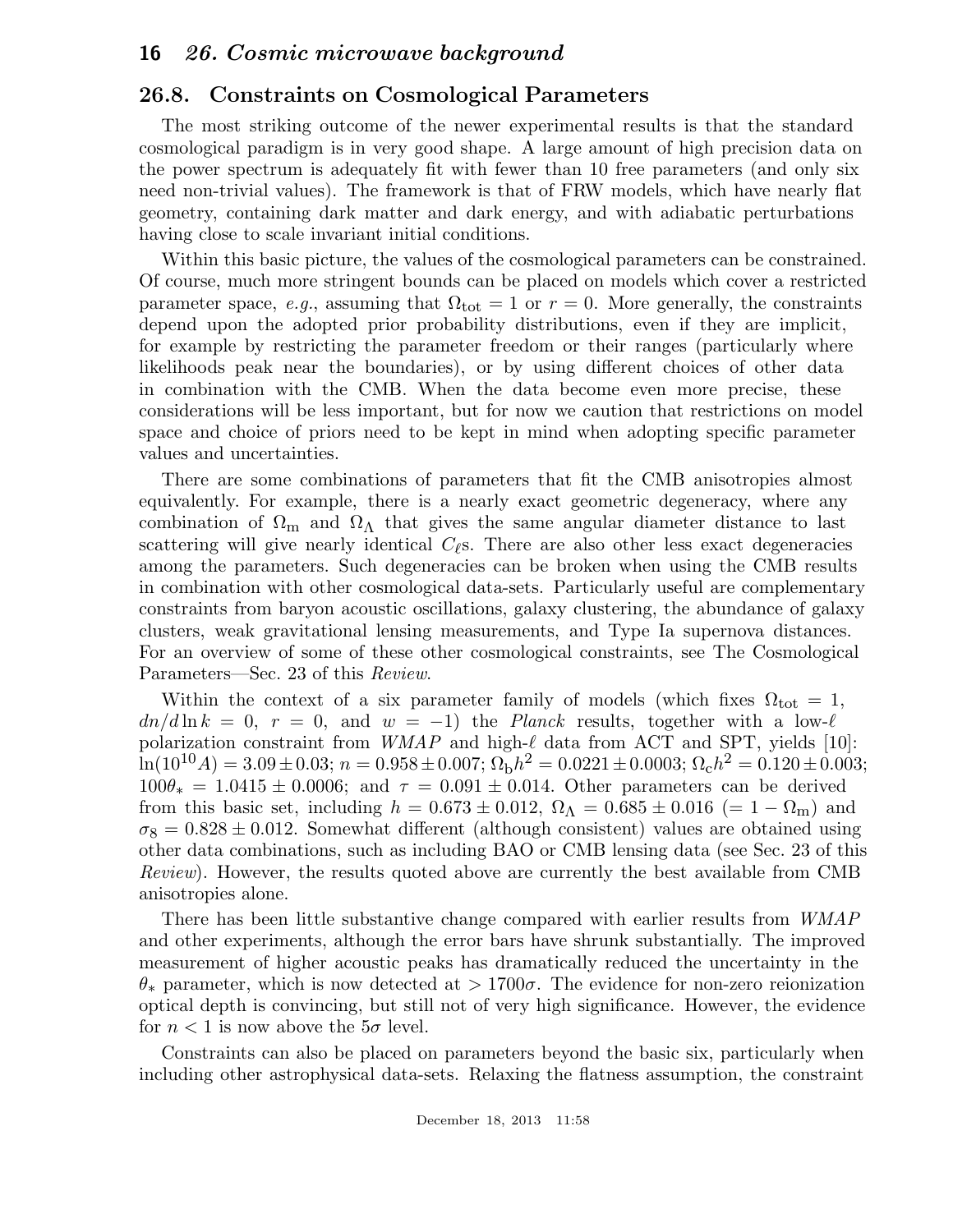### 26.8. Constraints on Cosmological Parameters

The most striking outcome of the newer experimental results is that the standard cosmological paradigm is in very good shape. A large amount of high precision data on the power spectrum is adequately fit with fewer than 10 free parameters (and only six need non-trivial values). The framework is that of FRW models, which have nearly flat geometry, containing dark matter and dark energy, and with adiabatic perturbations having close to scale invariant initial conditions.

Within this basic picture, the values of the cosmological parameters can be constrained. Of course, much more stringent bounds can be placed on models which cover a restricted parameter space, e.g., assuming that  $\Omega_{\text{tot}} = 1$  or  $r = 0$ . More generally, the constraints depend upon the adopted prior probability distributions, even if they are implicit, for example by restricting the parameter freedom or their ranges (particularly where likelihoods peak near the boundaries), or by using different choices of other data in combination with the CMB. When the data become even more precise, these considerations will be less important, but for now we caution that restrictions on model space and choice of priors need to be kept in mind when adopting specific parameter values and uncertainties.

There are some combinations of parameters that fit the CMB anisotropies almost equivalently. For example, there is a nearly exact geometric degeneracy, where any combination of  $\Omega_m$  and  $\Omega_{\Lambda}$  that gives the same angular diameter distance to last scattering will give nearly identical  $C_{\ell}$ s. There are also other less exact degeneracies among the parameters. Such degeneracies can be broken when using the CMB results in combination with other cosmological data-sets. Particularly useful are complementary constraints from baryon acoustic oscillations, galaxy clustering, the abundance of galaxy clusters, weak gravitational lensing measurements, and Type Ia supernova distances. For an overview of some of these other cosmological constraints, see The Cosmological Parameters—Sec. 23 of this Review.

Within the context of a six parameter family of models (which fixes  $\Omega_{\text{tot}} = 1$ ,  $dn/d \ln k = 0$ ,  $r = 0$ , and  $w = -1$ ) the *Planck* results, together with a low- $\ell$ polarization constraint from  $WMAP$  and high- $\ell$  data from ACT and SPT, yields [10]:  $\ln(10^{10}A) = 3.09 \pm 0.03; n = 0.958 \pm 0.007; \Omega_{\rm b}h^2 = 0.0221 \pm 0.0003; \Omega_{\rm c}h^2 = 0.120 \pm 0.003;$  $100\theta_* = 1.0415 \pm 0.0006$ ; and  $\tau = 0.091 \pm 0.014$ . Other parameters can be derived from this basic set, including  $h = 0.673 \pm 0.012$ ,  $\Omega_{\Lambda} = 0.685 \pm 0.016$  (= 1 –  $\Omega_{\rm m}$ ) and  $\sigma_8 = 0.828 \pm 0.012$ . Somewhat different (although consistent) values are obtained using other data combinations, such as including BAO or CMB lensing data (see Sec. 23 of this Review). However, the results quoted above are currently the best available from CMB anisotropies alone.

There has been little substantive change compared with earlier results from WMAP and other experiments, although the error bars have shrunk substantially. The improved measurement of higher acoustic peaks has dramatically reduced the uncertainty in the  $\theta_*$  parameter, which is now detected at  $> 1700\sigma$ . The evidence for non-zero reionization optical depth is convincing, but still not of very high significance. However, the evidence for  $n < 1$  is now above the  $5\sigma$  level.

Constraints can also be placed on parameters beyond the basic six, particularly when including other astrophysical data-sets. Relaxing the flatness assumption, the constraint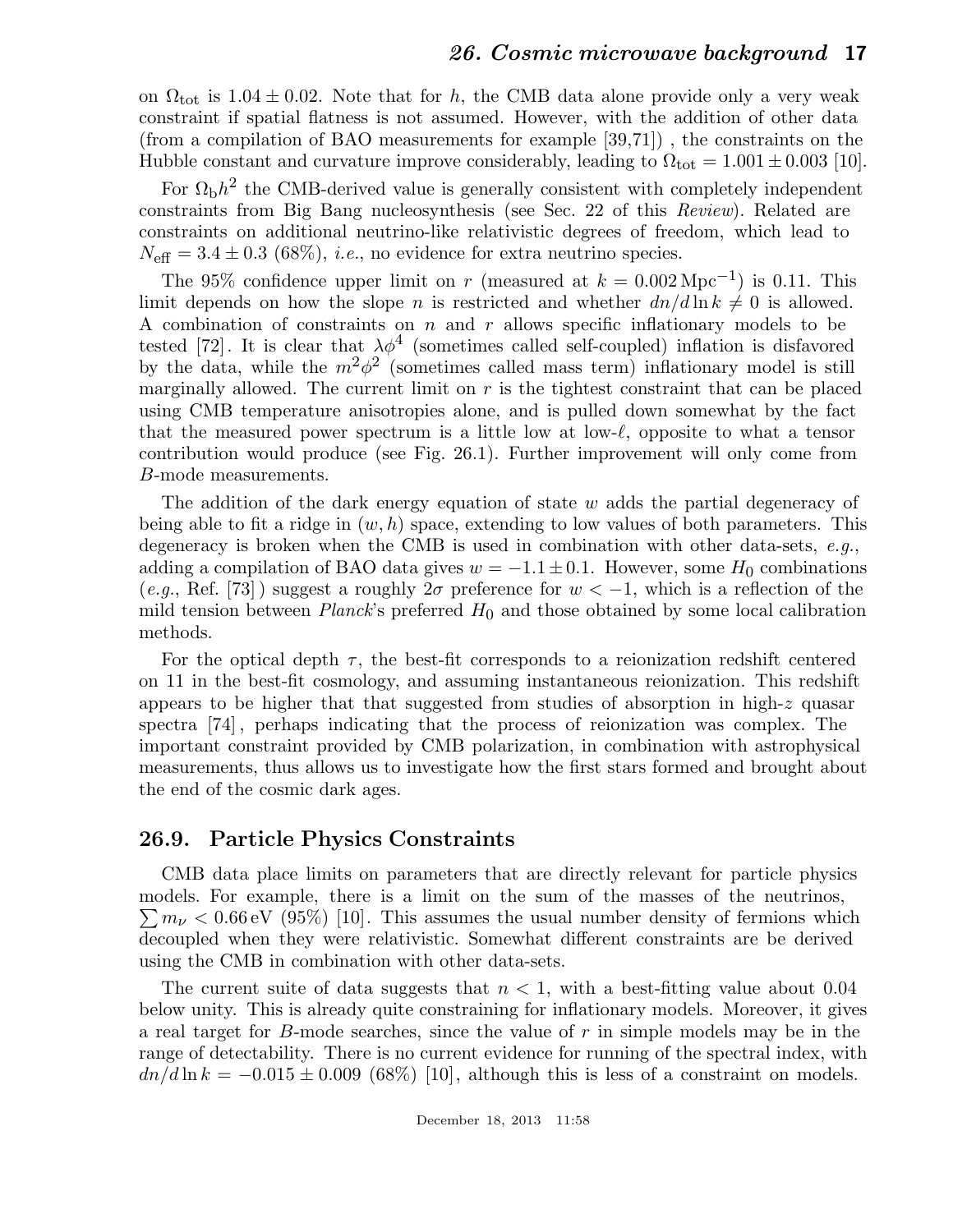on  $\Omega_{\text{tot}}$  is 1.04  $\pm$  0.02. Note that for h, the CMB data alone provide only a very weak constraint if spatial flatness is not assumed. However, with the addition of other data (from a compilation of BAO measurements for example [39,71]) , the constraints on the Hubble constant and curvature improve considerably, leading to  $\Omega_{\text{tot}} = 1.001 \pm 0.003$  [10].

For  $\Omega_{\rm b}h^2$  the CMB-derived value is generally consistent with completely independent constraints from Big Bang nucleosynthesis (see Sec. 22 of this Review). Related are constraints on additional neutrino-like relativistic degrees of freedom, which lead to  $N_{\text{eff}} = 3.4 \pm 0.3$  (68%), *i.e.*, no evidence for extra neutrino species.

The 95% confidence upper limit on r (measured at  $k = 0.002 \text{ Mpc}^{-1}$ ) is 0.11. This limit depends on how the slope n is restricted and whether  $dn/d \ln k \neq 0$  is allowed. A combination of constraints on  $n$  and  $r$  allows specific inflationary models to be tested [72]. It is clear that  $\lambda \phi^4$  (sometimes called self-coupled) inflation is disfavored by the data, while the  $m^2\phi^2$  (sometimes called mass term) inflationary model is still marginally allowed. The current limit on  $r$  is the tightest constraint that can be placed using CMB temperature anisotropies alone, and is pulled down somewhat by the fact that the measured power spectrum is a little low at low- $\ell$ , opposite to what a tensor contribution would produce (see Fig. 26.1). Further improvement will only come from B-mode measurements.

The addition of the dark energy equation of state  $w$  adds the partial degeneracy of being able to fit a ridge in  $(w, h)$  space, extending to low values of both parameters. This degeneracy is broken when the CMB is used in combination with other data-sets, e.g., adding a compilation of BAO data gives  $w = -1.1 \pm 0.1$ . However, some  $H_0$  combinations (e.g., Ref. [73]) suggest a roughly  $2\sigma$  preference for  $w < -1$ , which is a reflection of the mild tension between *Planck*'s preferred  $H_0$  and those obtained by some local calibration methods.

For the optical depth  $\tau$ , the best-fit corresponds to a reionization redshift centered on 11 in the best-fit cosmology, and assuming instantaneous reionization. This redshift appears to be higher that that suggested from studies of absorption in high-z quasar spectra [74] , perhaps indicating that the process of reionization was complex. The important constraint provided by CMB polarization, in combination with astrophysical measurements, thus allows us to investigate how the first stars formed and brought about the end of the cosmic dark ages.

## 26.9. Particle Physics Constraints

CMB data place limits on parameters that are directly relevant for particle physics models. For example, there is a limit on the sum of the masses o f the neutrinos,  $\sum m_{\nu} < 0.66$  eV (95%) [10]. This assumes the usual number density of fermions which decoupled when they were relativistic. Somewhat different constraints are be derived using the CMB in combination with other data-sets.

The current suite of data suggests that  $n < 1$ , with a best-fitting value about 0.04 below unity. This is already quite constraining for inflationary models. Moreover, it gives a real target for B-mode searches, since the value of r in simple models may be in the range of detectability. There is no current evidence for running of the spectral index, with  $dn/d \ln k = -0.015 \pm 0.009$  (68%) [10], although this is less of a constraint on models.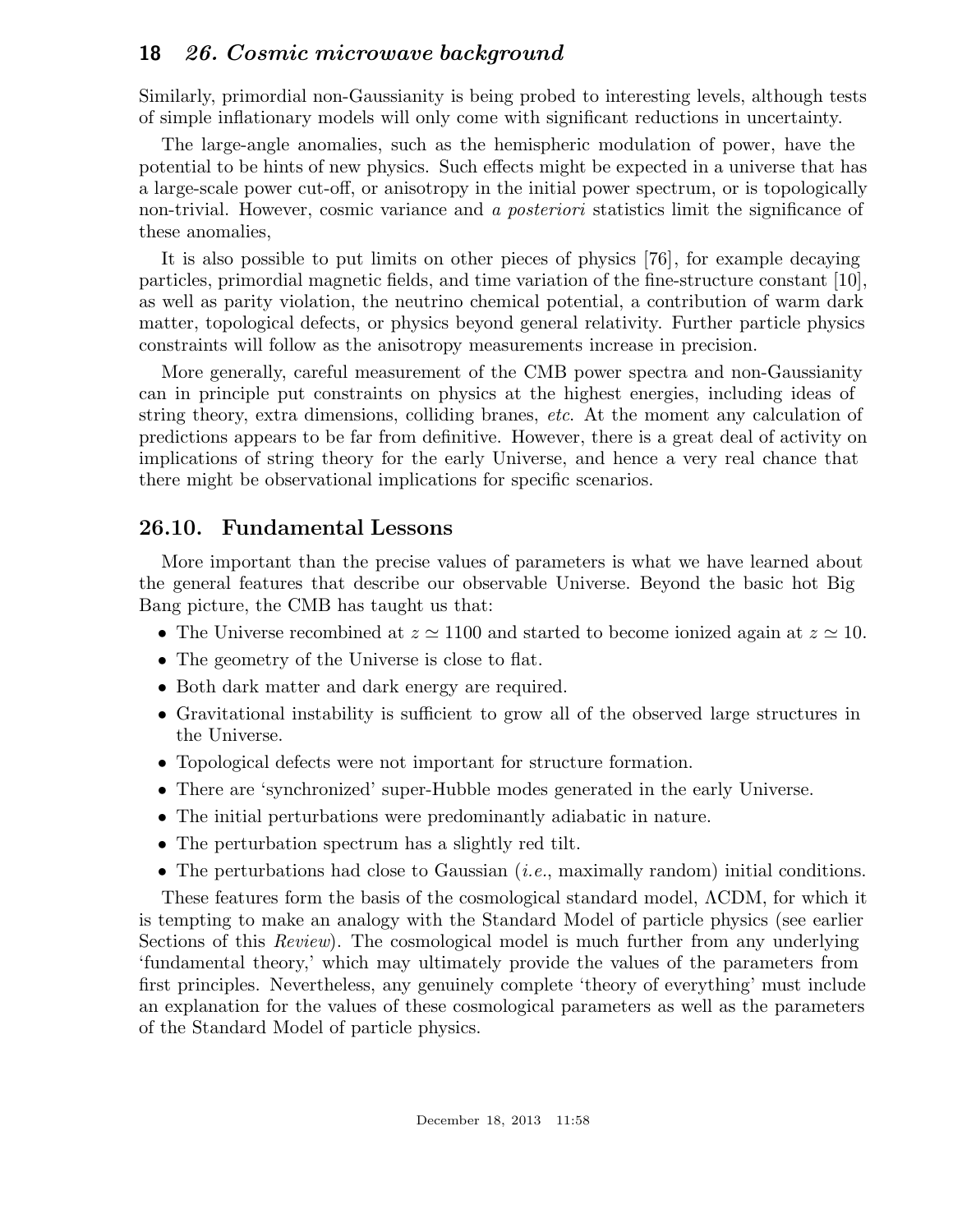# 18 26. Cosmic microwave background

Similarly, primordial non-Gaussianity is being probed to interesting levels, although tests of simple inflationary models will only come with significant reductions in uncertainty.

The large-angle anomalies, such as the hemispheric modulation of power, have the potential to be hints of new physics. Such effects might be expected in a universe that has a large-scale power cut-off, or anisotropy in the initial power spectrum, or is topologically non-trivial. However, cosmic variance and a posteriori statistics limit the significance of these anomalies,

It is also possible to put limits on other pieces of physics [76], for example decaying particles, primordial magnetic fields, and time variation of the fine-structure constant [10], as well as parity violation, the neutrino chemical potential, a contribution of warm dark matter, topological defects, or physics beyond general relativity. Further particle physics constraints will follow as the anisotropy measurements increase in precision.

More generally, careful measurement of the CMB power spectra and non-Gaussianity can in principle put constraints on physics at the highest energies, including ideas of string theory, extra dimensions, colliding branes, etc. At the moment any calculation of predictions appears to be far from definitive. However, there is a great deal of activity on implications of string theory for the early Universe, and hence a very real chance that there might be observational implications for specific scenarios.

# 26.10. Fundamental Lessons

More important than the precise values of parameters is what we have learned about the general features that describe our observable Universe. Beyond the basic hot Big Bang picture, the CMB has taught us that:

- The Universe recombined at  $z \approx 1100$  and started to become ionized again at  $z \approx 10$ .
- The geometry of the Universe is close to flat.
- Both dark matter and dark energy are required.
- Gravitational instability is sufficient to grow all of the observed large structures in the Universe.
- Topological defects were not important for structure formation.
- There are 'synchronized' super-Hubble modes generated in the early Universe.
- The initial perturbations were predominantly adiabatic in nature.
- The perturbation spectrum has a slightly red tilt.
- The perturbations had close to Gaussian  $(i.e.,$  maximally random) initial conditions.

These features form the basis of the cosmological standard model, ΛCDM, for which it is tempting to make an analogy with the Standard Model of particle physics (see earlier Sections of this Review). The cosmological model is much further from any underlying 'fundamental theory,' which may ultimately provide the values of the parameters from first principles. Nevertheless, any genuinely complete 'theory of everything' must include an explanation for the values of these cosmological parameters as well as the parameters of the Standard Model of particle physics.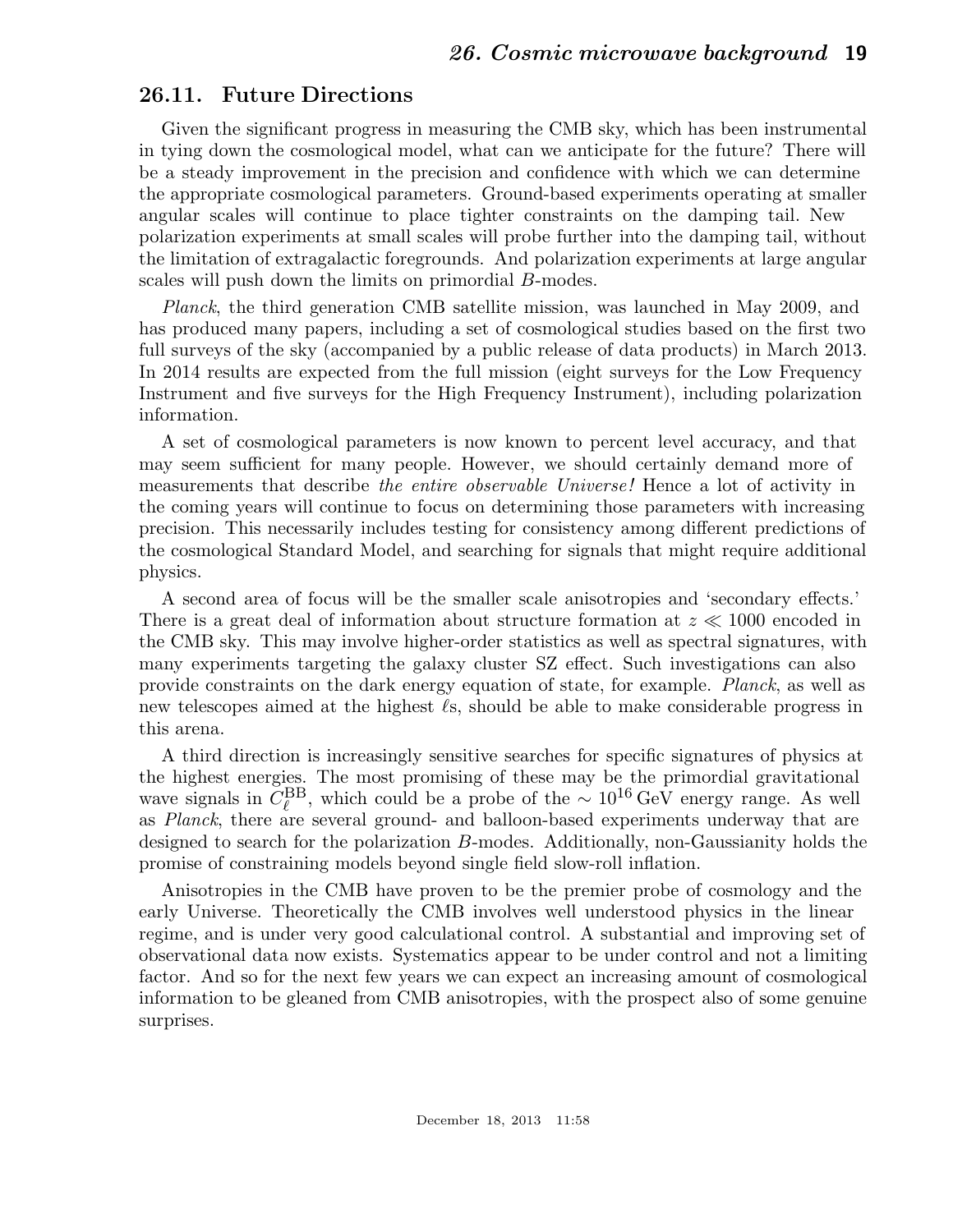### 26.11. Future Directions

Given the significant progress in measuring the CMB sky, which has been instrumental in tying down the cosmological model, what can we anticipate for the future? There will be a steady improvement in the precision and confidence with which we can determine the appropriate cosmological parameters. Ground-based experiments operating at smaller angular scales will continue to place tighter constraints on the damping tail. New polarization experiments at small scales will probe further into the damping tail, without the limitation of extragalactic foregrounds. And polarization experiments at large angular scales will push down the limits on primordial B-modes.

Planck, the third generation CMB satellite mission, was launched in May 2009, and has produced many papers, including a set of cosmological studies based on the first two full surveys of the sky (accompanied by a public release of data products) in March 2013. In 2014 results are expected from the full mission (eight surveys for the Low Frequency Instrument and five surveys for the High Frequency Instrument), including polarization information.

A set of cosmological parameters is now known to percent level accuracy, and that may seem sufficient for many people. However, we should certainly demand more of measurements that describe *the entire observable Universe!* Hence a lot of activity in the coming years will continue to focus on determining those parameters with increasing precision. This necessarily includes testing for consistency among different predictions of the cosmological Standard Model, and searching for signals that might require additional physics.

A second area of focus will be the smaller scale anisotropies and 'secondary effects.' There is a great deal of information about structure formation at  $z \ll 1000$  encoded in the CMB sky. This may involve higher-order statistics as well as spectral signatures, with many experiments targeting the galaxy cluster SZ effect. Such investigations can also provide constraints on the dark energy equation of state, for example. Planck, as well as new telescopes aimed at the highest  $\ell$ s, should be able to make considerable progress in this arena.

A third direction is increasingly sensitive searches for specific signatures of physics at the highest energies. The most promising of these may be the primordial gravitational wave signals in  $C_{\ell}^{\text{BB}}$  $\ell_{\ell}^{\text{BB}}$ , which could be a probe of the ~ 10<sup>16</sup> GeV energy range. As well as Planck, there are several ground- and balloon-based experiments underway that are designed to search for the polarization B-modes. Additionally, non-Gaussianity holds the promise of constraining models beyond single field slow-roll inflation.

Anisotropies in the CMB have proven to be the premier probe of cosmology and the early Universe. Theoretically the CMB involves well understood physics in the linear regime, and is under very good calculational control. A substantial and improving set of observational data now exists. Systematics appear to be under control and not a limiting factor. And so for the next few years we can expect an increasing amount of cosmological information to be gleaned from CMB anisotropies, with the prospect also of some genuine surprises.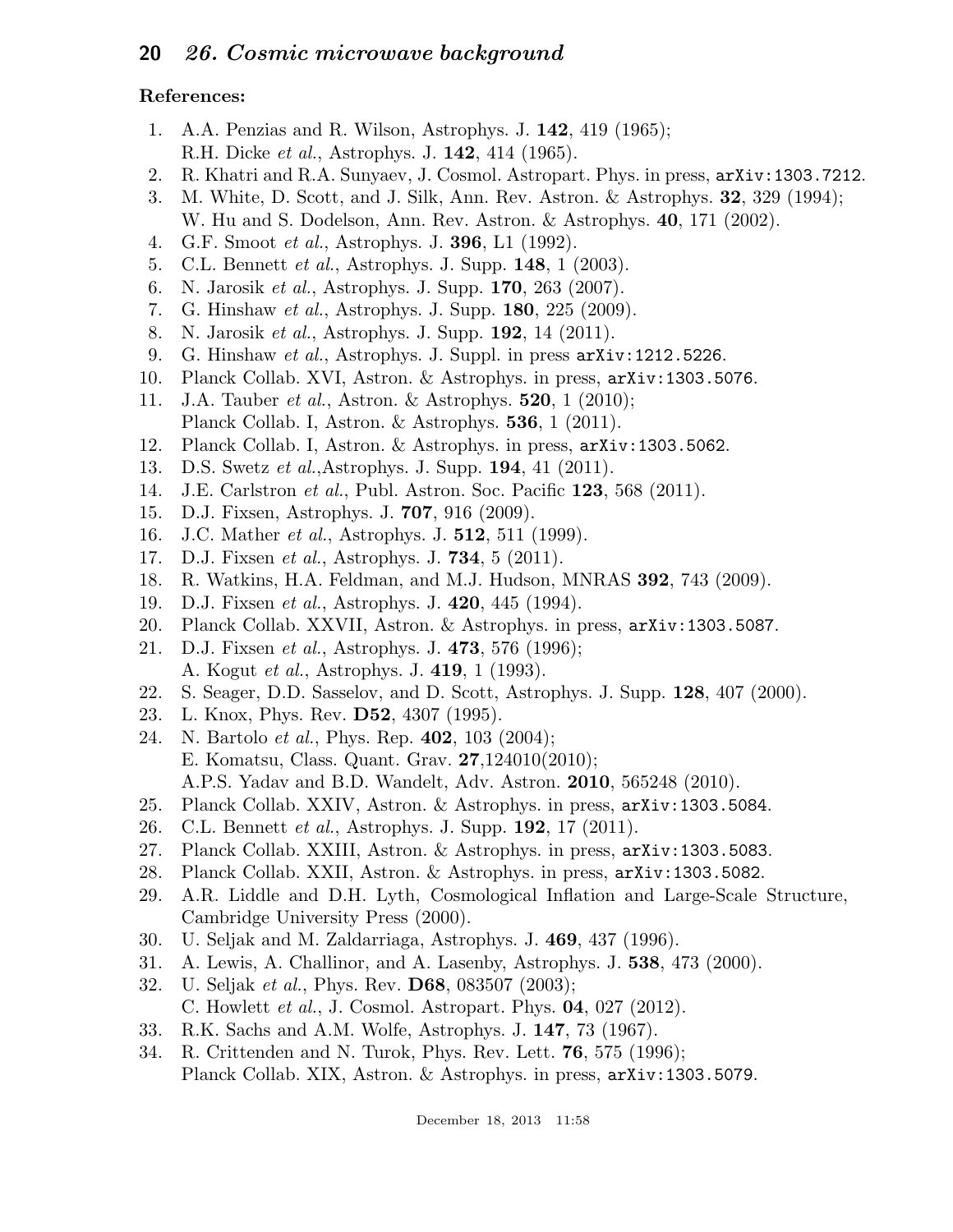### References:

- 1. A.A. Penzias and R. Wilson, Astrophys. J. 142, 419 (1965); R.H. Dicke et al., Astrophys. J. 142, 414 (1965).
- 2. R. Khatri and R.A. Sunyaev, J. Cosmol. Astropart. Phys. in press, arXiv:1303.7212.
- 3. M. White, D. Scott, and J. Silk, Ann. Rev. Astron. & Astrophys. 32, 329 (1994); W. Hu and S. Dodelson, Ann. Rev. Astron. & Astrophys. 40, 171 (2002).
- 4. G.F. Smoot et al., Astrophys. J. 396, L1 (1992).
- 5. C.L. Bennett et al., Astrophys. J. Supp. 148, 1 (2003).
- 6. N. Jarosik et al., Astrophys. J. Supp. 170, 263 (2007).
- 7. G. Hinshaw et al., Astrophys. J. Supp. 180, 225 (2009).
- 8. N. Jarosik et al., Astrophys. J. Supp. 192, 14 (2011).
- 9. G. Hinshaw et al., Astrophys. J. Suppl. in press arXiv:1212.5226.
- 10. Planck Collab. XVI, Astron. & Astrophys. in press, arXiv:1303.5076.
- 11. J.A. Tauber *et al.*, Astron. & Astrophys. **520**, 1 (2010); Planck Collab. I, Astron. & Astrophys. 536, 1 (2011).
- 12. Planck Collab. I, Astron. & Astrophys. in press, arXiv:1303.5062.
- 13. D.S. Swetz *et al.*, Astrophys. J. Supp. **194**, 41 (2011).
- 14. J.E. Carlstron *et al.*, Publ. Astron. Soc. Pacific **123**, 568 (2011).
- 15. D.J. Fixsen, Astrophys. J. 707, 916 (2009).
- 16. J.C. Mather *et al.*, Astrophys. J. **512**, 511 (1999).
- 17. D.J. Fixsen *et al.*, Astrophys. J. **734**, 5 (2011).
- 18. R. Watkins, H.A. Feldman, and M.J. Hudson, MNRAS 392, 743 (2009).
- 19. D.J. Fixsen *et al.*, Astrophys. J. 420, 445 (1994).
- 20. Planck Collab. XXVII, Astron. & Astrophys. in press, arXiv:1303.5087.
- 21. D.J. Fixsen *et al.*, Astrophys. J. 473, 576 (1996); A. Kogut et al., Astrophys. J. 419, 1 (1993).
- 22. S. Seager, D.D. Sasselov, and D. Scott, Astrophys. J. Supp. 128, 407 (2000).
- 23. L. Knox, Phys. Rev. D52, 4307 (1995).
- 24. N. Bartolo *et al.*, Phys. Rep. 402, 103 (2004); E. Komatsu, Class. Quant. Grav. 27,124010(2010); A.P.S. Yadav and B.D. Wandelt, Adv. Astron. 2010, 565248 (2010).
- 25. Planck Collab. XXIV, Astron. & Astrophys. in press, arXiv:1303.5084.
- 26. C.L. Bennett *et al.*, Astrophys. J. Supp. **192**, 17 (2011).
- 27. Planck Collab. XXIII, Astron. & Astrophys. in press, arXiv:1303.5083.
- 28. Planck Collab. XXII, Astron. & Astrophys. in press, arXiv:1303.5082.
- 29. A.R. Liddle and D.H. Lyth, Cosmological Inflation and Large-Scale Structure, Cambridge University Press (2000).
- 30. U. Seljak and M. Zaldarriaga, Astrophys. J. 469, 437 (1996).
- 31. A. Lewis, A. Challinor, and A. Lasenby, Astrophys. J. 538, 473 (2000).
- 32. U. Seljak et al., Phys. Rev. D68, 083507 (2003); C. Howlett et al., J. Cosmol. Astropart. Phys. 04, 027 (2012).
- 33. R.K. Sachs and A.M. Wolfe, Astrophys. J. 147, 73 (1967).
- 34. R. Crittenden and N. Turok, Phys. Rev. Lett. 76, 575 (1996); Planck Collab. XIX, Astron. & Astrophys. in press, arXiv:1303.5079.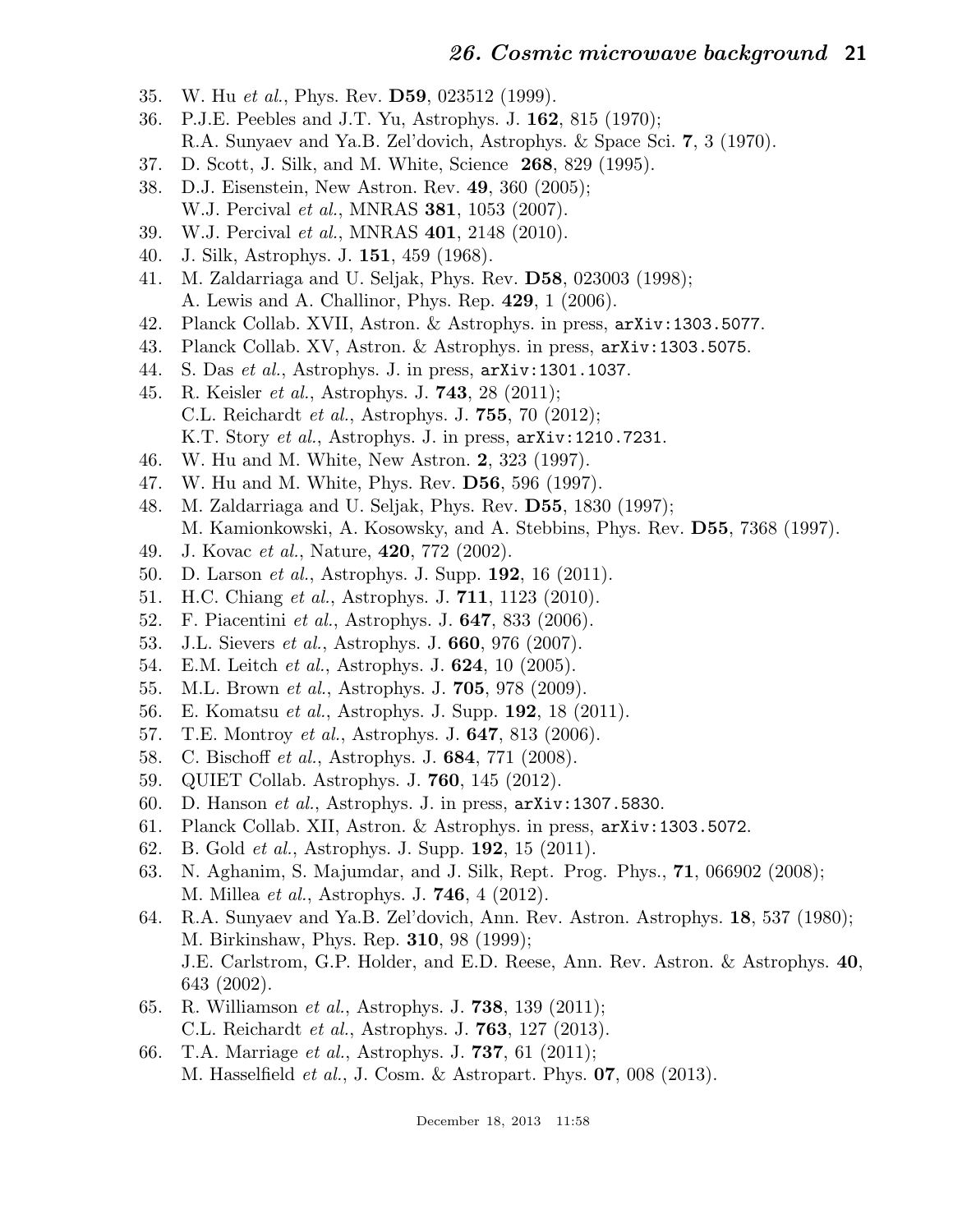- 35. W. Hu et al., Phys. Rev. D59, 023512 (1999).
- 36. P.J.E. Peebles and J.T. Yu, Astrophys. J. 162, 815 (1970); R.A. Sunyaev and Ya.B. Zel'dovich, Astrophys. & Space Sci. 7, 3 (1970).
- 37. D. Scott, J. Silk, and M. White, Science 268, 829 (1995).
- 38. D.J. Eisenstein, New Astron. Rev. 49, 360 (2005); W.J. Percival *et al.*, MNRAS **381**, 1053 (2007).
- 39. W.J. Percival et al., MNRAS 401, 2148 (2010).
- 40. J. Silk, Astrophys. J. 151, 459 (1968).
- 41. M. Zaldarriaga and U. Seljak, Phys. Rev. D58, 023003 (1998); A. Lewis and A. Challinor, Phys. Rep. 429, 1 (2006).
- 42. Planck Collab. XVII, Astron. & Astrophys. in press, arXiv:1303.5077.
- 43. Planck Collab. XV, Astron. & Astrophys. in press, arXiv:1303.5075.
- 44. S. Das et al., Astrophys. J. in press, arXiv:1301.1037.
- 45. R. Keisler *et al.*, Astrophys. J. **743**, 28 (2011); C.L. Reichardt et al., Astrophys. J. 755, 70 (2012); K.T. Story et al., Astrophys. J. in press,  $arXiv:1210.7231$ .
- 46. W. Hu and M. White, New Astron. 2, 323 (1997).
- 47. W. Hu and M. White, Phys. Rev. D56, 596 (1997).
- 48. M. Zaldarriaga and U. Seljak, Phys. Rev. D55, 1830 (1997); M. Kamionkowski, A. Kosowsky, and A. Stebbins, Phys. Rev. D55, 7368 (1997).
- 49. J. Kovac *et al.*, Nature, **420**, 772 (2002).
- 50. D. Larson et al., Astrophys. J. Supp. 192, 16 (2011).
- 51. H.C. Chiang *et al.*, Astrophys. J. **711**, 1123 (2010).
- 52. F. Piacentini et al., Astrophys. J. 647, 833 (2006).
- 53. J.L. Sievers et al., Astrophys. J. 660, 976 (2007).
- 54. E.M. Leitch *et al.*, Astrophys. J. **624**, 10 (2005).
- 55. M.L. Brown *et al.*, Astrophys. J. **705**, 978 (2009).
- 56. E. Komatsu *et al.*, Astrophys. J. Supp. **192**, 18 (2011).
- 57. T.E. Montroy *et al.*, Astrophys. J. **647**, 813 (2006).
- 58. C. Bischoff et al., Astrophys. J. 684, 771 (2008).
- 59. QUIET Collab. Astrophys. J. 760, 145 (2012).
- 60. D. Hanson et al., Astrophys. J. in press,  $arXiv:1307.5830$ .
- 61. Planck Collab. XII, Astron. & Astrophys. in press, arXiv:1303.5072.
- 62. B. Gold et al., Astrophys. J. Supp. 192, 15 (2011).
- 63. N. Aghanim, S. Majumdar, and J. Silk, Rept. Prog. Phys., 71, 066902 (2008); M. Millea et al., Astrophys. J. 746, 4 (2012).
- 64. R.A. Sunyaev and Ya.B. Zel'dovich, Ann. Rev. Astron. Astrophys. 18, 537 (1980); M. Birkinshaw, Phys. Rep. 310, 98 (1999); J.E. Carlstrom, G.P. Holder, and E.D. Reese, Ann. Rev. Astron. & Astrophys. 40, 643 (2002).
- 65. R. Williamson et al., Astrophys. J. 738, 139 (2011); C.L. Reichardt et al., Astrophys. J. 763, 127 (2013).
- 66. T.A. Marriage et al., Astrophys. J. 737, 61 (2011); M. Hasselfield et al., J. Cosm. & Astropart. Phys. 07, 008 (2013).